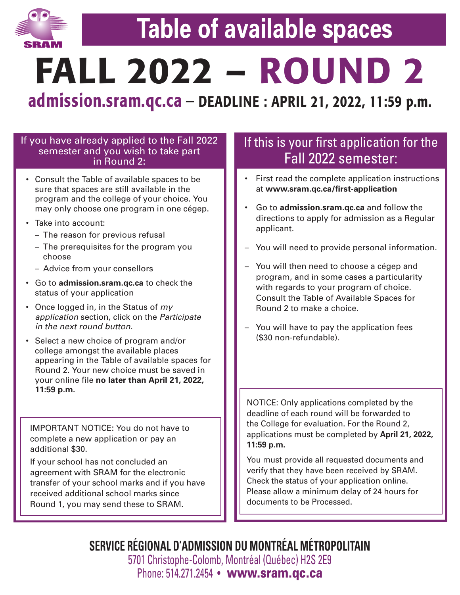

# **Table of available spaces**

**FALL 2022 – ROUND 2**

**admission.sram.qc.ca** – **DEADLINE : APRIL 21, 2022, 11:59 p.m.**

### If you have already applied to the Fall 2022 semester and you wish to take part in Round 2:

- Consult the Table of available spaces to be sure that spaces are still available in the program and the college of your choice. You may only choose one program in one cégep.
- Take into account:
	- The reason for previous refusal
	- The prerequisites for the program you choose
	- Advice from your consellors
- Go to **admission.sram.qc.ca** to check the status of your application
- Once logged in, in the Status of *my application* section, click on the *Participate in the next round button*.
- Select a new choice of program and/or college amongst the available places appearing in the Table of available spaces for Round 2. Your new choice must be saved in your online file **no later than April 21, 2022, 11:59 p.m.**

IMPORTANT NOTICE: You do not have to complete a new application or pay an additional \$30.

If your school has not concluded an agreement with SRAM for the electronic transfer of your school marks and if you have received additional school marks since Round 1, you may send these to SRAM.

### If this is your first application for the Fall 2022 semester:

- First read the complete application instructions at **www.sram.qc.ca/first-application**
- Go to **admission.sram.qc.ca** and follow the directions to apply for admission as a Regular applicant.
- You will need to provide personal information.
- You will then need to choose a cégep and program, and in some cases a particularity with regards to your program of choice. Consult the Table of Available Spaces for Round 2 to make a choice.
- You will have to pay the application fees (\$30 non-refundable).

NOTICE: Only applications completed by the deadline of each round will be forwarded to the College for evaluation. For the Round 2, applications must be completed by **April 21, 2022, 11:59 p.m.**

You must provide all requested documents and verify that they have been received by SRAM. Check the status of your application online. Please allow a minimum delay of 24 hours for documents to be Processed.

**SERVICE RÉGIONAL D'ADMISSION DU MONTRÉAL MÉTROPOLITAIN** 5701 Christophe-Colomb, Montréal (Québec) H2S 2E9 Phone: 514.271.2454 • **www.sram.qc.ca**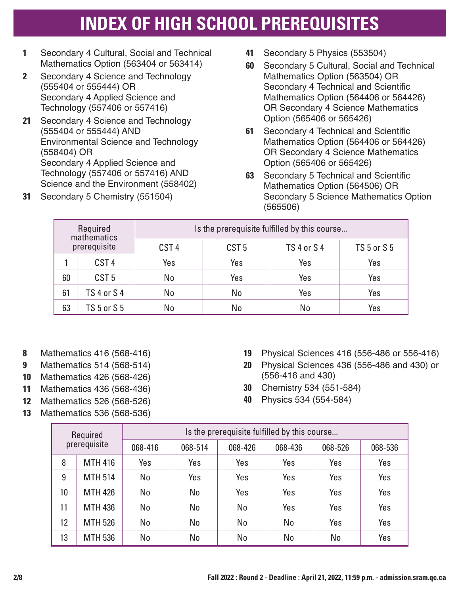## **INDEX OF HIGH SCHOOL PREREQUISITES**

- **1** Secondary 4 Cultural, Social and Technical Mathematics Option (563404 or 563414)
- **2** Secondary 4 Science and Technology (555404 or 555444) OR Secondary 4 Applied Science and Technology (557406 or 557416)
- **21** Secondary 4 Science and Technology (555404 or 555444) AND Environmental Science and Technology (558404) OR Secondary 4 Applied Science and Technology (557406 or 557416) AND Science and the Environment (558402)
- **31** Secondary 5 Chemistry (551504)
- **41** Secondary 5 Physics (553504)
- **60** Secondary 5 Cultural, Social and Technical Mathematics Option (563504) OR Secondary 4 Technical and Scientific Mathematics Option (564406 or 564426) OR Secondary 4 Science Mathematics Option (565406 or 565426)
- **61** Secondary 4 Technical and Scientific Mathematics Option (564406 or 564426) OR Secondary 4 Science Mathematics Option (565406 or 565426)
- **63** Secondary 5 Technical and Scientific Mathematics Option (564506) OR Secondary 5 Science Mathematics Option (565506)

|    | Required<br>mathematics |                  | Is the prerequisite fulfilled by this course |                    |                    |
|----|-------------------------|------------------|----------------------------------------------|--------------------|--------------------|
|    | prerequisite            | CST <sub>4</sub> | CST <sub>5</sub>                             | <b>TS 4 or S 4</b> | <b>TS 5 or S 5</b> |
|    | CST <sub>4</sub>        | Yes              | Yes                                          | Yes                | Yes                |
| 60 | CST <sub>5</sub>        | No               | Yes                                          | Yes                | Yes                |
| 61 | <b>TS 4 or S 4</b>      | No               | No                                           | Yes                | Yes                |
| 63 | <b>TS 5 or S 5</b>      | No               | No                                           | No                 | Yes                |

- **8** Mathematics 416 (568-416)
- **9** Mathematics 514 (568-514)
- **10** Mathematics 426 (568-426)
- **11** Mathematics 436 (568-436)
- **12** Mathematics 526 (568-526)
- **13** Mathematics 536 (568-536)
- **19** Physical Sciences 416 (556-486 or 556-416)
- **20** Physical Sciences 436 (556-486 and 430) or (556-416 and 430)
- **30** Chemistry 534 (551-584)
- **40** Physics 534 (554-584)

|    | Required       |         |         | Is the prerequisite fulfilled by this course |         |         |         |
|----|----------------|---------|---------|----------------------------------------------|---------|---------|---------|
|    | prerequisite   | 068-416 | 068-514 | 068-426                                      | 068-436 | 068-526 | 068-536 |
| 8  | <b>MTH 416</b> | Yes     | Yes     | Yes                                          | Yes     | Yes     | Yes     |
| 9  | <b>MTH 514</b> | No      | Yes     | Yes                                          | Yes     | Yes     | Yes     |
| 10 | <b>MTH 426</b> | No      | No      | Yes                                          | Yes     | Yes     | Yes     |
| 11 | <b>MTH 436</b> | No      | No      | No                                           | Yes     | Yes     | Yes     |
| 12 | <b>MTH 526</b> | No      | No      | No                                           | No      | Yes     | Yes     |
| 13 | <b>MTH 536</b> | No      | No      | No                                           | No      | No      | Yes     |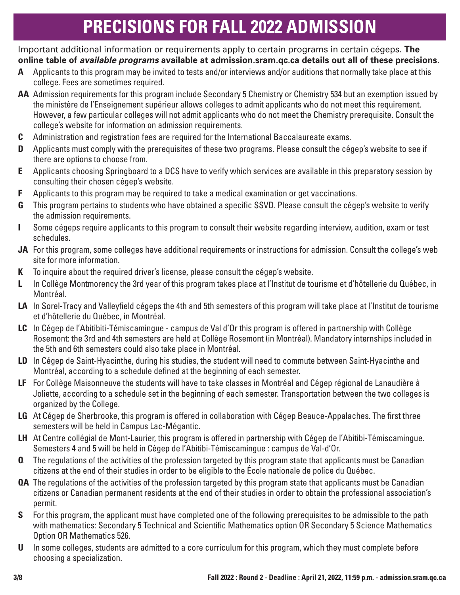# **PRECISIONS FOR FALL 2022 ADMISSION**

Important additional information or requirements apply to certain programs in certain cégeps. **The online table of** *available programs* **available at admission.sram.qc.ca details out all of these precisions.**

- **A** Applicants to this program may be invited to tests and/or interviews and/or auditions that normally take place at this college. Fees are sometimes required.
- **AA** Admission requirements for this program include Secondary 5 Chemistry or Chemistry 534 but an exemption issued by the ministère de l'Enseignement supérieur allows colleges to admit applicants who do not meet this requirement. However, a few particular colleges will not admit applicants who do not meet the Chemistry prerequisite. Consult the college's website for information on admission requirements.
- **C** Administration and registration fees are required for the International Baccalaureate exams.
- **D** Applicants must comply with the prerequisites of these two programs. Please consult the cégep's website to see if there are options to choose from.
- **E** Applicants choosing Springboard to a DCS have to verify which services are available in this preparatory session by consulting their chosen cégep's website.
- **F** Applicants to this program may be required to take a medical examination or get vaccinations.
- **G** This program pertains to students who have obtained a specific SSVD. Please consult the cégep's website to verify the admission requirements.
- **I** Some cégeps require applicants to this program to consult their website regarding interview, audition, exam or test schedules.
- **JA** For this program, some colleges have additional requirements or instructions for admission. Consult the college's web site for more information.
- **K** To inquire about the required driver's license, please consult the cégep's website.
- **L** In Collège Montmorency the 3rd year of this program takes place at l'Institut de tourisme et d'hôtellerie du Québec, in Montréal.
- **LA** In Sorel-Tracy and Valleyfield cégeps the 4th and 5th semesters of this program will take place at l'Institut de tourisme et d'hôtellerie du Québec, in Montréal.
- **LC** In Cégep de l'Abitibiti-Témiscamingue campus de Val d'Or this program is offered in partnership with Collège Rosemont: the 3rd and 4th semesters are held at Collège Rosemont (in Montréal). Mandatory internships included in the 5th and 6th semesters could also take place in Montréal.
- **LD** In Cégep de Saint-Hyacinthe, during his studies, the student will need to commute between Saint-Hyacinthe and Montréal, according to a schedule defined at the beginning of each semester.
- **LF** For Collège Maisonneuve the students will have to take classes in Montréal and Cégep régional de Lanaudière à Joliette, according to a schedule set in the beginning of each semester. Transportation between the two colleges is organized by the College.
- **LG** At Cégep de Sherbrooke, this program is offered in collaboration with Cégep Beauce-Appalaches. The first three semesters will be held in Campus Lac-Mégantic.
- **LH** At Centre collégial de Mont-Laurier, this program is offered in partnership with Cégep de l'Abitibi-Témiscamingue. Semesters 4 and 5 will be held in Cégep de l'Abitibi-Témiscamingue : campus de Val-d'Or.
- **Q** The regulations of the activities of the profession targeted by this program state that applicants must be Canadian citizens at the end of their studies in order to be eligible to the École nationale de police du Québec.
- **QA** The regulations of the activities of the profession targeted by this program state that applicants must be Canadian citizens or Canadian permanent residents at the end of their studies in order to obtain the professional association's permit.
- **S** For this program, the applicant must have completed one of the following prerequisites to be admissible to the path with mathematics: Secondary 5 Technical and Scientific Mathematics option OR Secondary 5 Science Mathematics Option OR Mathematics 526.
- **U** In some colleges, students are admitted to a core curriculum for this program, which they must complete before choosing a specialization.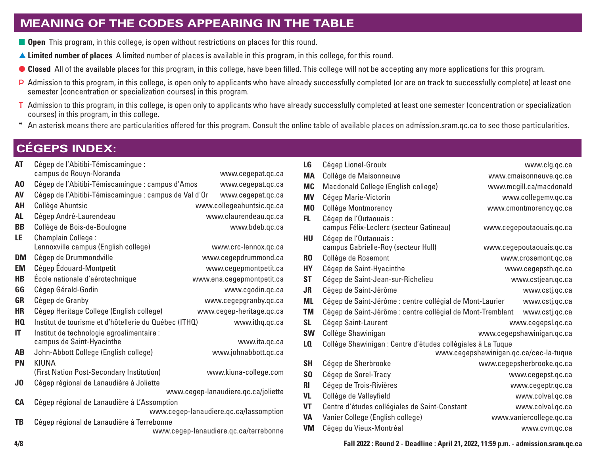### **MEANING OF THE CODES APPEARING IN THE TABLE**

- **n Open** This program, in this college, is open without restrictions on places for this round.
- s **Limited number of places** A limited number of places is available in this program, in this college, for this round.
- Closed All of the available places for this program, in this college, have been filled. This college will not be accepting any more applications for this program.
- P Admission to this program, in this college, is open only to applicants who have already successfully completed (or are on track to successfully complete) at least one semester (concentration or specialization courses) in this program.
- T Admission to this program, in this college, is open only to applicants who have already successfully completed at least one semester (concentration or specialization courses) in this program, in this college.
- \* An asterisk means there are particularities offered for this program. Consult the online table of available places on admission.sram.qc.ca to see those particularities.

### **CÉGEPS INDEX:**

| Cégep de l'Abitibi-Témiscamingue :          | www.cegepat.qc.ca                                                                                                                                                                                                 |
|---------------------------------------------|-------------------------------------------------------------------------------------------------------------------------------------------------------------------------------------------------------------------|
|                                             |                                                                                                                                                                                                                   |
|                                             | www.cegepat.qc.ca                                                                                                                                                                                                 |
|                                             | www.cegepat.qc.ca                                                                                                                                                                                                 |
|                                             | www.collegeahuntsic.qc.ca                                                                                                                                                                                         |
| Cégep André-Laurendeau                      | www.claurendeau.qc.ca                                                                                                                                                                                             |
| Collège de Bois-de-Boulogne                 | www.bdeb.qc.ca                                                                                                                                                                                                    |
| Champlain College:                          |                                                                                                                                                                                                                   |
| Lennoxville campus (English college)        | www.crc-lennox.qc.ca                                                                                                                                                                                              |
| Cégep de Drummondville                      | www.cegepdrummond.ca                                                                                                                                                                                              |
| Cégep Édouard-Montpetit                     | www.cegepmontpetit.ca                                                                                                                                                                                             |
| École nationale d'aérotechnique             | www.ena.cegepmontpetit.ca                                                                                                                                                                                         |
| Cégep Gérald-Godin                          | www.cgodin.qc.ca                                                                                                                                                                                                  |
| Cégep de Granby                             | www.cegepgranby.qc.ca                                                                                                                                                                                             |
| Cégep Heritage College (English college)    | www.cegep-heritage.qc.ca                                                                                                                                                                                          |
|                                             | www.ithq.qc.ca                                                                                                                                                                                                    |
| Institut de technologie agroalimentaire :   |                                                                                                                                                                                                                   |
| campus de Saint-Hyacinthe                   | www.ita.qc.ca                                                                                                                                                                                                     |
| John-Abbott College (English college)       | www.johnabbott.qc.ca                                                                                                                                                                                              |
| KIUNA                                       |                                                                                                                                                                                                                   |
| (First Nation Post-Secondary Institution)   | www.kiuna-college.com                                                                                                                                                                                             |
| Cégep régional de Lanaudière à Joliette     |                                                                                                                                                                                                                   |
|                                             | www.cegep-lanaudiere.qc.ca/joliette                                                                                                                                                                               |
| Cégep régional de Lanaudière à L'Assomption |                                                                                                                                                                                                                   |
|                                             | www.cegep-lanaudiere.qc.ca/lassomption                                                                                                                                                                            |
| Cégep régional de Lanaudière à Terrebonne   |                                                                                                                                                                                                                   |
|                                             | www.cegep-lanaudiere.qc.ca/terrebonne                                                                                                                                                                             |
|                                             | campus de Rouyn-Noranda<br>Cégep de l'Abitibi-Témiscamingue : campus d'Amos<br>Cégep de l'Abitibi-Témiscamingue : campus de Val d'Or<br>Collège Ahuntsic<br>Institut de tourisme et d'hôtellerie du Québec (ITHQ) |

| LG             | Cégep Lionel-Groulx                                         | www.clg.qc.ca                          |
|----------------|-------------------------------------------------------------|----------------------------------------|
| <b>MA</b>      | Collège de Maisonneuve                                      | www.cmaisonneuve.gc.ca                 |
| <b>MC</b>      | Macdonald College (English college)                         | www.mcgill.ca/macdonald                |
| <b>MV</b>      | Cégep Marie-Victorin                                        | www.collegemv.qc.ca                    |
| M <sub>0</sub> | Collège Montmorency                                         | www.cmontmorency.qc.ca                 |
| FL.            | Cégep de l'Outaouais :                                      |                                        |
|                | campus Félix-Leclerc (secteur Gatineau)                     | www.cegepoutaouais.gc.ca               |
| HU             | Cégep de l'Outaouais :                                      |                                        |
|                | campus Gabrielle-Roy (secteur Hull)                         | www.cegepoutaouais.gc.ca               |
| R <sub>0</sub> | Collège de Rosemont                                         | www.crosemont.qc.ca                    |
| <b>HY</b>      | Cégep de Saint-Hyacinthe                                    | www.cegepsth.qc.ca                     |
| <b>ST</b>      | Cégep de Saint-Jean-sur-Richelieu                           | www.cstjean.qc.ca                      |
| <b>JR</b>      | Cégep de Saint-Jérôme                                       | www.cstj.qc.ca                         |
| <b>ML</b>      | Cégep de Saint-Jérôme : centre collégial de Mont-Laurier    | www.cstj.gc.ca                         |
| <b>TM</b>      | Cégep de Saint-Jérôme : centre collégial de Mont-Tremblant  | www.cstj.gc.ca                         |
| <b>SL</b>      | Cégep Saint-Laurent                                         | www.cegepsl.qc.ca                      |
| <b>SW</b>      | Collège Shawinigan                                          | www.cegepshawinigan.qc.ca              |
| LQ             | Collège Shawinigan : Centre d'études collégiales à La Tuque |                                        |
|                |                                                             | www.cegepshawinigan.qc.ca/cec-la-tuque |
| <b>SH</b>      | Cégep de Sherbrooke                                         | www.cegepsherbrooke.qc.ca              |
| S <sub>0</sub> | Cégep de Sorel-Tracy                                        | www.cegepst.qc.ca                      |
| <b>RI</b>      | Cégep de Trois-Rivières                                     | www.cegeptr.qc.ca                      |
| <b>VL</b>      | Collège de Valleyfield                                      | www.colval.qc.ca                       |
| <b>VT</b>      | Centre d'études collégiales de Saint-Constant               | www.colval.qc.ca                       |
| <b>VA</b>      | Vanier College (English college)                            | www.vaniercollege.qc.ca                |
| <b>VM</b>      | Cégep du Vieux-Montréal                                     | www.cvm.qc.ca                          |
|                |                                                             |                                        |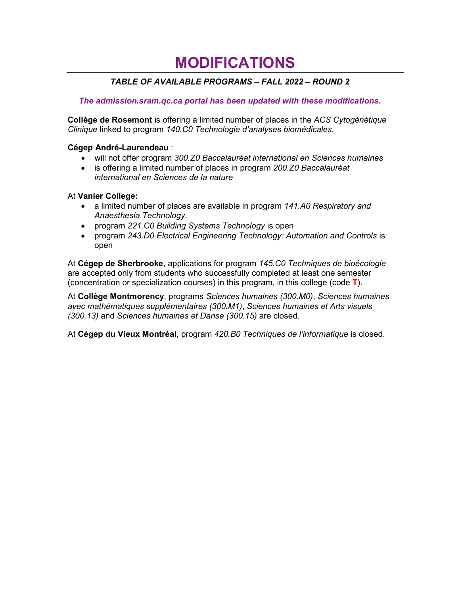### **MODIFICATIONS**

### *TABLE OF AVAILABLE PROGRAMS – FALL 2022 – ROUND 2*

#### *The admission.sram.qc.ca portal has been updated with these modifications***.**

**Collège de Rosemont** is offering a limited number of places in the *ACS Cytogénétique Clinique* linked to program *140.C0 Technologie d'analyses biomédicales*.

#### **Cégep André-Laurendeau** :

- will not offer program *300.Z0 Baccalauréat international en Sciences humaines*
- is offering a limited number of places in program *200.Z0 Baccalauréat international en Sciences de la nature*

#### At **Vanier College:**

- a limited number of places are available in program *141.A0 Respiratory and Anaesthesia Technology*.
- program *221.C0 Building Systems Technology* is open
- program *243.D0 Electrical Engineering Technology: Automation and Controls* is open

At **Cégep de Sherbrooke**, applications for program *145.C0 Techniques de bioécologie* are accepted only from students who successfully completed at least one semester (concentration or specialization courses) in this program, in this college (code **T**).

At **Collège Montmorency**, programs *Sciences humaines (300.M0)*, *Sciences humaines avec mathématiques supplémentaires (300.M1)*, *Sciences humaines et Arts visuels (300.13)* and *Sciences humaines et Danse (300.15)* are closed.

At **Cégep du Vieux Montréal**, program *420.B0 Techniques de l'informatique* is closed.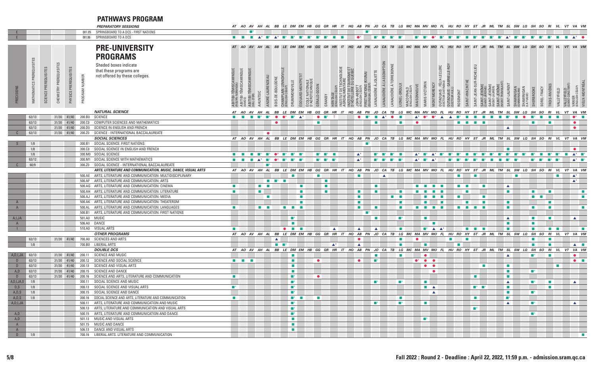### **PATHWAYS PROGRAM**

|                |                           |      |                       |                       |                    | <b>PREPARATORY SESSIONS</b>                                                                                      |                                        | AT AO AV AH AL                                                                |                          |                                                                                                    |                                       | BB LE DM EM HB GG GR HR             |                                      |                                   |                                                                                                                                                                                                                                                          |                              | IT HQ AB PN JO                                    |                                 |                                                   |                        |                                               | CA TB LG MC MA MV MO                |                                       | FL                                               | HU RO                                        | HY                          | ST                                | JR                                   | ML TM SL SW LQ SH SO RI                |                                                   |                         |                                    |                             |                             | VL VT VA VM                                                 |                                     |
|----------------|---------------------------|------|-----------------------|-----------------------|--------------------|------------------------------------------------------------------------------------------------------------------|----------------------------------------|-------------------------------------------------------------------------------|--------------------------|----------------------------------------------------------------------------------------------------|---------------------------------------|-------------------------------------|--------------------------------------|-----------------------------------|----------------------------------------------------------------------------------------------------------------------------------------------------------------------------------------------------------------------------------------------------------|------------------------------|---------------------------------------------------|---------------------------------|---------------------------------------------------|------------------------|-----------------------------------------------|-------------------------------------|---------------------------------------|--------------------------------------------------|----------------------------------------------|-----------------------------|-----------------------------------|--------------------------------------|----------------------------------------|---------------------------------------------------|-------------------------|------------------------------------|-----------------------------|-----------------------------|-------------------------------------------------------------|-------------------------------------|
|                |                           |      |                       |                       |                    | 081.05 SPRINGBOARD TO A DCS - FIRST NATIONS                                                                      |                                        | $\blacksquare^*$                                                              |                          |                                                                                                    |                                       |                                     |                                      |                                   |                                                                                                                                                                                                                                                          |                              |                                                   | $\blacksquare$                  |                                                   |                        |                                               |                                     |                                       |                                                  |                                              |                             |                                   |                                      |                                        |                                                   |                         |                                    |                             |                             |                                                             |                                     |
|                |                           |      |                       |                       | 081.06             | SPRINGBOARD TO A DCS                                                                                             | <b>Contract Contract</b>               | <b>Contract</b>                                                               |                          | $\begin{array}{ccccccccc}\n\mathbf{A}^* & \mathbf{B}^* & \mathbf{A}^* & \mathbf{B}^*\n\end{array}$ |                                       | $\blacksquare$                      | $\blacksquare^*$<br>$\blacksquare^*$ | $\blacksquare$ *                  | $\blacksquare^*$<br><b>The Contract of the Contract of the Contract of the Contract of the Contract of the Contract of the Contract of the Contract of the Contract of The Contract of The Contract of The Contract of The Contract of The Contract </b> | $\sim$                       | $\bullet^*$                                       |                                 | $\blacksquare$<br>$\blacksquare$                  | −                      | a ma                                          | $\blacksquare$                      | −                                     | $\bullet^*$<br>$\blacksquare$                    | $\blacksquare^*$<br><b>The Second Second</b> | $\sim$                      | ▬                                 | $\blacksquare^*$<br>$\blacksquare^*$ | −                                      | $\blacktriangle^*$<br>$\blacksquare^*$            | −                       | $\blacksquare$ *<br>$\blacksquare$ | $\blacksquare^*$            | $\mathcal{L}^{\text{max}}$  | <b>Contract</b>                                             | $\blacktriangle^*$ $\bullet$        |
|                |                           |      |                       |                       |                    | <b>PRE-UNIVERSITY</b>                                                                                            |                                        | AT AO AV AH AL                                                                |                          |                                                                                                    | <b>BB</b>                             | LE DM EM                            |                                      | HB GG                             | <b>GR</b><br>HR                                                                                                                                                                                                                                          |                              | IT HQ AB PN                                       |                                 | CA<br>JO                                          |                        |                                               | TB LG MC MA MV MO                   |                                       |                                                  |                                              | FL HU RO HY ST              |                                   | $J\mathbf{R}$<br>ML                  | <b>TM</b>                              |                                                   |                         | SL SW LQ SH SO                     | RI                          |                             | VL VT VA VN                                                 |                                     |
|                |                           |      |                       |                       |                    | <b>PROGRAMS</b>                                                                                                  |                                        |                                                                               |                          |                                                                                                    |                                       |                                     |                                      |                                   |                                                                                                                                                                                                                                                          |                              |                                                   |                                 |                                                   |                        |                                               |                                     |                                       |                                                  |                                              |                             |                                   |                                      |                                        |                                                   |                         |                                    |                             |                             |                                                             |                                     |
|                |                           |      |                       |                       |                    |                                                                                                                  |                                        |                                                                               |                          |                                                                                                    |                                       |                                     |                                      |                                   |                                                                                                                                                                                                                                                          |                              |                                                   |                                 |                                                   |                        |                                               |                                     |                                       |                                                  |                                              |                             |                                   |                                      |                                        |                                                   |                         |                                    |                             |                             |                                                             |                                     |
|                |                           |      |                       |                       |                    | Shaded boxes indicate                                                                                            |                                        |                                                                               |                          |                                                                                                    |                                       |                                     |                                      |                                   |                                                                                                                                                                                                                                                          |                              |                                                   |                                 |                                                   |                        |                                               |                                     |                                       |                                                  |                                              |                             |                                   |                                      |                                        |                                                   |                         |                                    |                             |                             |                                                             |                                     |
|                |                           |      |                       |                       |                    | that these programs are                                                                                          |                                        |                                                                               |                          |                                                                                                    |                                       |                                     |                                      |                                   |                                                                                                                                                                                                                                                          |                              |                                                   |                                 |                                                   |                        |                                               |                                     |                                       |                                                  |                                              |                             | CHELIEU                           |                                      |                                        |                                                   |                         |                                    |                             |                             |                                                             |                                     |
|                |                           |      |                       |                       |                    | not offered by these colleges.                                                                                   |                                        |                                                                               |                          |                                                                                                    |                                       |                                     |                                      |                                   |                                                                                                                                                                                                                                                          | <b>CHNOLOGIE</b>             |                                                   | (KIUNA)                         |                                                   |                        |                                               |                                     |                                       |                                                  |                                              |                             |                                   |                                      |                                        |                                                   |                         |                                    |                             |                             |                                                             |                                     |
|                |                           |      |                       |                       |                    |                                                                                                                  |                                        |                                                                               |                          |                                                                                                    |                                       |                                     |                                      |                                   |                                                                                                                                                                                                                                                          |                              |                                                   |                                 |                                                   |                        |                                               |                                     |                                       |                                                  | GA <sub>E</sub>                              |                             |                                   |                                      |                                        |                                                   |                         |                                    |                             |                             |                                                             |                                     |
|                |                           |      |                       |                       |                    |                                                                                                                  |                                        |                                                                               |                          |                                                                                                    |                                       |                                     |                                      |                                   |                                                                                                                                                                                                                                                          |                              |                                                   |                                 |                                                   |                        |                                               |                                     |                                       |                                                  |                                              |                             |                                   |                                      |                                        |                                                   |                         |                                    |                             |                             |                                                             |                                     |
|                |                           | ENCE |                       |                       |                    |                                                                                                                  |                                        |                                                                               |                          |                                                                                                    |                                       |                                     |                                      |                                   |                                                                                                                                                                                                                                                          |                              | ABBO<br>HERE                                      |                                 |                                                   |                        |                                               |                                     |                                       |                                                  |                                              |                             |                                   | JÉRÔ                                 |                                        |                                                   |                         |                                    |                             |                             |                                                             |                                     |
| PRECISIOI      | MATHEMATICS PREREQUISITES | ဒဒ   | CHEMISTRY PREREQUISIT | PHYSICS PREREQUISITES | PROGRAM NUMBER     |                                                                                                                  | ABITIBI-TÉMISCAMINGUI                  | ABITIBI-TÉMISCAMINGUE<br>(AMOS)<br>,  ,<br>ABITIBI-TÉMISCAMINGUE<br>MAL-D'OR) | SLNNHV                   | ANDRÉ-LAURENDEAU<br><b>BOIS-DE-BOULOGNI</b>                                                        | CHAMPLAIN LENNOXVI<br>(ENGLISH CÉGEP) | ÉDOUARD-MONTPE<br>DRUMMONDVILLE     | COLE NATIONALE<br>'AÉROTECHNIQUE     | GÉRALD-GODIN                      | <b>TERITAGE</b><br>ENGLISH CE<br>GRANBY                                                                                                                                                                                                                  | INSTITUT DE T<br>AGROALIMEN' | INSTITUT DE TOURISME ET<br>D'HÔTELLERIE DU QUEBEC | RST NATIONS (<br>LINGUAL CÉGEP) | LANAUDIÈRE À L'ASSOMPTION<br>ANAUDIÈRE À JOLIETTE | ANAUDIÈRE À TERREBONNE | .IONEL-GROULX<br>MACDONALD<br>(FNGLISH CÉGEP) | MAISONNEUVE                         | <b>MARIE-VICTOR</b><br><b>IONTMOR</b> | OUTAOUAIS : FÉLIX-LECLERC<br>(SECTEUR GATINEALI) | <b>OUTAOUAIS:</b><br>(SECTEUR HULL)          | SAINT-HYACINTHE<br>ROSEMONT | SAINT-JEAN-SUR-RI                 | SAINT-JÉRÔME                         | SAINT-JÉRÔME<br>(MONT-TREMBLANT)       | SAINT-LAURENT<br><b>SHAWINIGAN</b><br>KAMMINIGANI | SHAWINIGAN<br>LA TUQUE) | SHERBROOKE<br>JREL-TRACY           | TROIS-RIVIÈRI               | <b>/ALLEYFIELD</b>          | VALLEYFIELD<br>(SAINT-CONSTANT)<br>VANIER<br>(ENGLISH CÉGEP | VIEUX-MONTRÉAL                      |
|                |                           |      |                       |                       |                    |                                                                                                                  |                                        |                                                                               |                          |                                                                                                    |                                       |                                     |                                      |                                   |                                                                                                                                                                                                                                                          |                              |                                                   |                                 |                                                   |                        |                                               |                                     |                                       |                                                  |                                              |                             |                                   |                                      |                                        |                                                   |                         |                                    |                             |                             |                                                             |                                     |
|                |                           |      |                       |                       |                    | <b>NATURAL SCIENCE</b>                                                                                           | AT AO                                  | AV                                                                            |                          |                                                                                                    | BB<br>LE                              | DM EM HB                            |                                      | GG                                | GR<br>HR                                                                                                                                                                                                                                                 | IT                           | HQ                                                | AB PN                           | JO<br>CA                                          | TB                     | LG                                            | MC MA MV MO                         |                                       | <b>FL</b>                                        | HU RO                                        | <b>HY</b>                   | ST                                | JR                                   | ML TM                                  | SL<br>sw                                          | LQ                      | so<br>SH                           | RI                          |                             |                                                             | VA VM                               |
|                | 63/13                     |      |                       |                       |                    | 31/30 41/40 200.B0 SCIENCE                                                                                       | $\mathcal{L}_{\rm{max}}$               |                                                                               |                          |                                                                                                    |                                       |                                     |                                      |                                   |                                                                                                                                                                                                                                                          |                              |                                                   |                                 |                                                   |                        |                                               | $\blacktriangle^*$                  |                                       |                                                  |                                              |                             |                                   |                                      |                                        |                                                   |                         |                                    |                             |                             |                                                             | $\bullet^*$ $\blacksquare$          |
|                | 63/13                     |      |                       | 31/30 41/40           | 200.CO             | COMPUTER SCIENCES AND MATHEMATICS                                                                                |                                        |                                                                               |                          |                                                                                                    |                                       |                                     |                                      |                                   |                                                                                                                                                                                                                                                          |                              |                                                   |                                 |                                                   |                        |                                               | $\bullet$                           |                                       |                                                  |                                              |                             |                                   |                                      |                                        |                                                   |                         |                                    |                             |                             |                                                             | $\bullet$                           |
|                | 63/13                     |      |                       | 31/30 41/40           | 200.DO             | SCIENCE IN ENGLISH AND FRENCH                                                                                    |                                        |                                                                               |                          |                                                                                                    |                                       |                                     |                                      |                                   |                                                                                                                                                                                                                                                          |                              |                                                   |                                 |                                                   |                        |                                               |                                     |                                       |                                                  |                                              |                             |                                   |                                      |                                        | ▲                                                 |                         |                                    |                             |                             |                                                             | $\bullet$                           |
| $\Gamma$       | 63/13                     |      |                       | 31/30 41/40           | 200.Z0             | SCIENCE - INTERNATIONAL BACCALAUREATE                                                                            |                                        |                                                                               |                          | $\bullet$                                                                                          |                                       |                                     |                                      |                                   |                                                                                                                                                                                                                                                          |                              |                                                   |                                 |                                                   |                        |                                               |                                     |                                       |                                                  |                                              |                             |                                   |                                      |                                        |                                                   |                         |                                    |                             |                             |                                                             |                                     |
|                |                           |      |                       |                       |                    | <b>SOCIAL SCIENCES</b>                                                                                           |                                        | AT AO AV                                                                      | AH                       | AL                                                                                                 | BB<br>LE                              | DM EM                               | $H$ $B$                              | GG                                | GR                                                                                                                                                                                                                                                       |                              | HQ                                                | AB PN                           | JO CA                                             | TB                     |                                               | LG MC MA MV MO                      |                                       | <b>FL</b>                                        | HU RO                                        |                             | HY ST                             | JR.                                  | ML TM SL                               |                                                   | SW LQ                   | SH SO RI                           |                             | VL                          | VT VA VN                                                    |                                     |
| S.             | 1/8                       |      |                       |                       | 300.B1             | SOCIAL SCIENCE: FIRST NATIONS                                                                                    |                                        |                                                                               |                          |                                                                                                    |                                       |                                     |                                      |                                   |                                                                                                                                                                                                                                                          |                              |                                                   |                                 |                                                   |                        |                                               |                                     |                                       |                                                  |                                              |                             |                                   |                                      |                                        |                                                   |                         |                                    |                             |                             |                                                             |                                     |
|                | 1/8                       |      |                       |                       | 300.CO             | SOCIAL SCIENCE IN ENGLISH AND FRENCH                                                                             |                                        |                                                                               |                          |                                                                                                    |                                       |                                     |                                      |                                   |                                                                                                                                                                                                                                                          |                              |                                                   |                                 |                                                   |                        |                                               |                                     |                                       |                                                  |                                              |                             |                                   |                                      |                                        |                                                   |                         |                                    |                             |                             |                                                             | $\bullet$                           |
|                | 1/8                       |      |                       |                       |                    | 300.M0 SOCIAL SCIENCE                                                                                            | $\mathcal{H}^{\mathcal{A}}$ .          | <b>Contract</b>                                                               |                          | $\blacksquare^*$<br>$\bullet^*$                                                                    | $\blacksquare^*$                      | $\blacksquare^*$                    |                                      | $\blacksquare^*$ $\blacksquare^*$ |                                                                                                                                                                                                                                                          |                              | $\blacktriangle^*$                                |                                 | $\blacksquare^*$<br><b>Tara</b>                   |                        |                                               | $\blacktriangle^*$ $\blacksquare^*$ |                                       |                                                  |                                              |                             |                                   |                                      |                                        |                                                   |                         |                                    |                             |                             | <b>College</b>                                              | $\blacktriangle^*$ $\blacksquare^*$ |
|                | 63/12                     |      |                       |                       | 300.M1             | SOCIAL SCIENCE WITH MATHEMATICS                                                                                  | $\mathcal{L}_{\text{max}}$             |                                                                               |                          | $\bullet^*$                                                                                        |                                       | ■*                                  |                                      | $\blacksquare^*$ $\blacksquare^*$ | $\blacksquare^*$                                                                                                                                                                                                                                         |                              | $\blacktriangle^*$                                |                                 | $\blacksquare^*$<br>■                             |                        |                                               | $\blacktriangle^*$                  | $\blacksquare^*$                      |                                                  |                                              |                             |                                   |                                      |                                        |                                                   |                         | <b>Table</b>                       |                             |                             |                                                             | $\blacktriangle^*$ $\blacksquare^*$ |
| $\mathbb{C}$   | 60/9                      |      |                       |                       | 300.Z0             | SOCIAL SCIENCE - INTERNATIONAL BACCALAUREATE                                                                     |                                        |                                                                               |                          |                                                                                                    |                                       |                                     |                                      |                                   |                                                                                                                                                                                                                                                          |                              |                                                   |                                 |                                                   |                        |                                               |                                     |                                       |                                                  |                                              |                             |                                   |                                      |                                        |                                                   |                         |                                    |                             |                             |                                                             |                                     |
|                |                           |      |                       |                       |                    | ARTS, LITERATURE AND COMMUNICATION, MUSIC, DANCE, VISUAL ARTS                                                    |                                        | AT AO AV AH AL                                                                |                          |                                                                                                    |                                       | BB LE DM EM HB                      |                                      | GG                                | GR<br>HR                                                                                                                                                                                                                                                 | IT                           | HQ AB PN JO CA                                    |                                 |                                                   | TB                     |                                               | LG MC MA MV MO FL HU RO HY ST       |                                       |                                                  |                                              |                             |                                   |                                      | JR ML TM SL SW LQ SH SO RI VL VT VA VM |                                                   |                         |                                    |                             |                             |                                                             |                                     |
|                |                           |      |                       |                       |                    | 500.AE ARTS, LITERATURE AND COMMUNICATION: MULTIDISCIPLINARY                                                     |                                        |                                                                               |                          |                                                                                                    |                                       |                                     |                                      | <b>College</b>                    |                                                                                                                                                                                                                                                          |                              | <b>The Co</b>                                     |                                 |                                                   |                        |                                               |                                     |                                       |                                                  |                                              | <b>The State</b>            | $\mathcal{L}_{\mathcal{A}}$       |                                      |                                        |                                                   |                         |                                    |                             | $\mathcal{L}_{\mathcal{A}}$ |                                                             | $\blacktriangle^*$                  |
|                |                           |      |                       |                       |                    | 500.AF ARTS, LITERATURE AND COMMUNICATION: ARTS                                                                  |                                        |                                                                               |                          | <b>The Contract of the State</b>                                                                   |                                       |                                     |                                      |                                   | <b>The Co</b>                                                                                                                                                                                                                                            |                              |                                                   |                                 |                                                   |                        |                                               |                                     |                                       |                                                  |                                              |                             |                                   |                                      |                                        |                                                   |                         |                                    |                             |                             |                                                             | $\blacktriangle^*$                  |
|                |                           |      |                       |                       |                    | 500.AG ARTS, LITERATURE AND COMMUNICATION: CINEMA                                                                | $\mathcal{F}(\mathcal{F})$             |                                                                               | $\mathcal{L}_{\rm{max}}$ | <b>The Contract</b>                                                                                |                                       |                                     | <b>The Co</b>                        |                                   | $\mathcal{L}_{\mathcal{A}}$                                                                                                                                                                                                                              |                              |                                                   |                                 | <b>The State</b>                                  |                        |                                               | $\sim 100$                          | <b>Contractor</b>                     | <b>Contract Contract</b><br>$\sim$               |                                              | <b>Contract Contract</b>    |                                   | <b>The Co</b>                        |                                        | $\blacktriangle$                                  |                         |                                    |                             |                             |                                                             |                                     |
|                |                           |      |                       |                       |                    | 500.AH ARTS, LITERATURE AND COMMUNICATION: LITERATURE                                                            | $\overline{\mathcal{L}^{\mathcal{M}}}$ |                                                                               | <b>The State</b>         |                                                                                                    |                                       |                                     |                                      |                                   | <b>COL</b>                                                                                                                                                                                                                                               |                              | <b>The Co</b>                                     |                                 | <b>COL</b>                                        |                        |                                               |                                     |                                       | <b>College</b>                                   |                                              | $\mathcal{L}_{\mathcal{A}}$ |                                   |                                      |                                        | $\mathcal{L}_{\mathcal{A}}$                       |                         |                                    |                             |                             |                                                             | <b>III</b>                          |
|                |                           |      |                       |                       | 500.AJ             | ARTS, LITERATURE AND COMMUNICATION: MEDIA                                                                        |                                        |                                                                               |                          | <b>COL</b>                                                                                         |                                       |                                     |                                      |                                   |                                                                                                                                                                                                                                                          |                              | <b>The Co</b>                                     |                                 |                                                   | <b>Contract</b>        |                                               |                                     |                                       |                                                  |                                              | $\mathcal{L}_{\mathcal{A}}$ |                                   |                                      |                                        |                                                   |                         | $\sim$<br>$\sim$                   |                             |                             |                                                             | $\overline{\phantom{a}}$            |
| A<br>A         |                           |      |                       |                       | 500.AL             | 500.AK ARTS, LITERATURE AND COMMUNICATION: THEATEROM<br>ARTS, LITERATURE AND COMMUNICATION: LANGUAGES            | $\mathcal{F}(\mathcal{F})$             |                                                                               |                          |                                                                                                    |                                       |                                     |                                      |                                   |                                                                                                                                                                                                                                                          |                              | <b>The Co</b>                                     |                                 | <b>COL</b>                                        |                        |                                               |                                     |                                       |                                                  |                                              | <b>The State</b>            |                                   |                                      |                                        | $\mathcal{L}_{\mathcal{A}}$<br><b>COL</b>         |                         | $\mathcal{L}_{\mathcal{A}}$        |                             |                             |                                                             | $\overline{\phantom{a}}$            |
|                |                           |      |                       |                       |                    | 500.B1 ARTS, LITERATURE AND COMMUNICATION: FIRST NATIONS                                                         |                                        |                                                                               | <b>Contract</b>          |                                                                                                    |                                       |                                     |                                      |                                   |                                                                                                                                                                                                                                                          |                              | <b>The Co</b>                                     |                                 |                                                   |                        |                                               |                                     |                                       |                                                  |                                              | <b>Tall</b>                 | $\mathcal{L}_{\mathcal{A}}$       |                                      |                                        |                                                   |                         |                                    |                             |                             |                                                             |                                     |
| A, I, JA       |                           |      |                       |                       |                    | 501.A0 MUSIC                                                                                                     |                                        |                                                                               |                          |                                                                                                    |                                       | $\blacksquare$                      |                                      |                                   |                                                                                                                                                                                                                                                          |                              |                                                   |                                 | <b>COL</b>                                        |                        | ■*                                            |                                     |                                       |                                                  |                                              |                             |                                   |                                      |                                        | $\blacktriangle$                                  |                         | $\mathcal{L}_{\mathcal{A}}$        | $\mathcal{L}_{\mathcal{A}}$ |                             |                                                             | $\blacktriangle$                    |
| A              |                           |      |                       |                       |                    | 506.A0 DANCE                                                                                                     |                                        |                                                                               |                          |                                                                                                    |                                       |                                     |                                      |                                   |                                                                                                                                                                                                                                                          |                              |                                                   |                                 |                                                   |                        |                                               |                                     |                                       |                                                  |                                              |                             |                                   |                                      |                                        | $\mathbf{r}$                                      |                         |                                    |                             |                             |                                                             |                                     |
| $\mathbf{L}$   |                           |      |                       |                       |                    | 510.A0 VISUAL ARTS                                                                                               | $\sim 10$                              |                                                                               |                          |                                                                                                    |                                       |                                     |                                      |                                   | $\blacktriangle$                                                                                                                                                                                                                                         |                              | $\blacktriangle$                                  |                                 | $\blacktriangle$                                  |                        | п                                             |                                     | $\blacksquare^*$ $\blacktriangle$     | $\blacktriangle^*$                               |                                              | <b>COL</b>                  |                                   |                                      |                                        | ш                                                 |                         | $\sim$                             |                             | <b>The Contract State</b>   |                                                             | a sa Ta                             |
|                |                           |      |                       |                       |                    | <b>OTHER PROGRAMS</b>                                                                                            |                                        | AT AO AV AH AL                                                                |                          |                                                                                                    | BB                                    | <i>LE DM EM</i>                     |                                      | HB GG                             | GR<br>HR                                                                                                                                                                                                                                                 |                              | IT HQ AB PN JO                                    |                                 |                                                   | CA TB                  |                                               | LG MC MA MV MO FL                   |                                       |                                                  |                                              | HU RO HY ST                 |                                   | JR                                   | ML TM SL SW LQ SH SO RI VL VT VA VN    |                                                   |                         |                                    |                             |                             |                                                             |                                     |
|                | 63/13                     |      |                       |                       |                    | 31/30 41/40 700.A0 SCIENCES AND ARTS                                                                             |                                        |                                                                               |                          | ▲                                                                                                  |                                       |                                     |                                      |                                   |                                                                                                                                                                                                                                                          |                              | $\bullet$                                         |                                 |                                                   |                        |                                               |                                     |                                       |                                                  |                                              |                             |                                   |                                      |                                        |                                                   |                         |                                    |                             |                             |                                                             |                                     |
|                | 1/8                       |      |                       |                       |                    | 700.B0 LIBERAL ARTS                                                                                              |                                        |                                                                               |                          |                                                                                                    | $\blacksquare$ $\blacksquare^*$       |                                     |                                      |                                   | $\blacktriangle^*$                                                                                                                                                                                                                                       |                              | $\blacktriangle$                                  |                                 |                                                   |                        |                                               |                                     | ш                                     |                                                  |                                              | <b>COL</b>                  |                                   |                                      |                                        |                                                   |                         |                                    |                             |                             |                                                             | $\blacktriangle$ $\blacksquare$     |
|                |                           |      |                       |                       |                    | <b>DOUBLE DCS</b>                                                                                                |                                        | AT AO AV AH AL                                                                |                          |                                                                                                    | BB                                    | LE DM EM                            | HB                                   | GG                                | GR<br>HR                                                                                                                                                                                                                                                 | IT                           | HQ                                                | AB PN                           | JO<br>CA                                          | TB                     |                                               | LG MC MA MV MO FL                   |                                       |                                                  | HU RO                                        |                             | HY ST                             |                                      | JR ML TM SL SW LQ                      |                                                   |                         | SH SO RI VL VT VA VM               |                             |                             |                                                             |                                     |
| A, D, I, JA    | 63/13                     |      |                       |                       | 31/30 41/40 200.11 | SCIENCE AND MUSIC                                                                                                |                                        |                                                                               |                          |                                                                                                    |                                       | $\blacksquare$                      |                                      |                                   |                                                                                                                                                                                                                                                          |                              |                                                   |                                 | ш                                                 |                        |                                               |                                     | $\bullet$                             |                                                  |                                              |                             |                                   |                                      |                                        | ▲                                                 |                         |                                    |                             |                             |                                                             | $\bullet$                           |
| D              | 63/13                     |      |                       | 31/30 41/40           | 200.12             | SCIENCE AND SOCIAL SCIENCE                                                                                       |                                        | <b>The Common State</b>                                                       |                          |                                                                                                    |                                       | $\mathcal{L}_{\mathcal{A}}$         |                                      | $\bullet$                         |                                                                                                                                                                                                                                                          |                              | $\bullet$                                         |                                 | $\blacksquare^*$                                  |                        |                                               | $\bullet^*$                         | $\bullet\quad \bullet$                |                                                  |                                              |                             |                                   |                                      |                                        |                                                   |                         |                                    |                             |                             |                                                             | $\bullet$ $\blacksquare$            |
| D              | 63/13                     |      |                       | 31/30 41/40           | 200.13             | SCIENCE AND VISUAL ARTS                                                                                          |                                        |                                                                               |                          |                                                                                                    |                                       | $\mathcal{L}_{\mathcal{A}}$         |                                      |                                   |                                                                                                                                                                                                                                                          |                              |                                                   |                                 |                                                   |                        |                                               |                                     | $\bullet$<br>ہ                        |                                                  |                                              |                             |                                   | $\blacksquare$                       |                                        | $\mathcal{L}_{\mathcal{A}}$                       |                         |                                    |                             | $\sim$                      |                                                             |                                     |
| A, D           | 63/13                     |      |                       | 31/30 41/40           | 200.15             | <b>SCIENCE AND DANCE</b>                                                                                         |                                        |                                                                               |                          |                                                                                                    |                                       | $\mathcal{L}_{\mathcal{A}}$         |                                      |                                   |                                                                                                                                                                                                                                                          |                              |                                                   |                                 |                                                   |                        |                                               |                                     |                                       | $\bullet$                                        |                                              |                             |                                   |                                      |                                        | <b>Contract</b>                                   |                         | ■                                  |                             |                             |                                                             |                                     |
| D              | 63/13                     |      |                       | 31/30 41/40           | 200.16             | SCIENCE AND ARTS, LITERATURE AND COMMUNICATION                                                                   | $\mathcal{H}^{\mathcal{A}}$ .          |                                                                               |                          |                                                                                                    |                                       | $\blacksquare^*$                    |                                      |                                   |                                                                                                                                                                                                                                                          |                              |                                                   |                                 |                                                   |                        |                                               |                                     |                                       |                                                  |                                              |                             | <b>COL</b>                        |                                      |                                        | $\sim 10$                                         |                         |                                    |                             |                             |                                                             |                                     |
| A, D, I, JA, S | 1/8                       |      |                       |                       | 300.11             | SOCIAL SCIENCE AND MUSIC                                                                                         |                                        |                                                                               |                          |                                                                                                    |                                       | $\blacksquare^*$                    |                                      |                                   |                                                                                                                                                                                                                                                          |                              |                                                   |                                 | $\blacksquare^*$                                  |                        | ■*                                            |                                     | <b>The Co</b>                         |                                                  |                                              |                             |                                   |                                      |                                        | $\blacktriangle$                                  |                         | $\blacksquare^*$                   | <b>The State</b>            |                             |                                                             | $\blacktriangle$                    |
| D, S           | 1/8                       |      |                       |                       | 300.13             | SOCIAL SCIENCE AND VISUAL ARTS                                                                                   | $\blacksquare^*$                       |                                                                               |                          |                                                                                                    |                                       | ■                                   |                                      |                                   |                                                                                                                                                                                                                                                          |                              |                                                   |                                 |                                                   |                        |                                               |                                     | ■▲                                    |                                                  |                                              |                             | $\blacksquare^*$ $\blacksquare^*$ |                                      |                                        | $\mathcal{L}_{\mathcal{A}}$                       |                         |                                    | <b>COL</b>                  |                             |                                                             |                                     |
| A, D, S        | 1/8                       |      |                       |                       |                    | 300.15 SOCIAL SCIENCE AND DANCE                                                                                  |                                        |                                                                               |                          |                                                                                                    |                                       | $\blacksquare$                      |                                      |                                   |                                                                                                                                                                                                                                                          |                              |                                                   |                                 |                                                   |                        |                                               |                                     |                                       | $\blacktriangle$                                 |                                              |                             |                                   |                                      |                                        | <b>Contract</b>                                   |                         | $\blacksquare^*$                   |                             |                             |                                                             |                                     |
| A, D, S        | 1/8                       |      |                       |                       |                    | 300.16 SOCIAL SCIENCE AND ARTS, LITERATURE AND COMMUNICATION                                                     | <b>The Common</b>                      |                                                                               |                          |                                                                                                    |                                       | $\mathbb{R}^*$ . The $\mathbb{R}^*$ |                                      | <b>Contract Contract</b>          |                                                                                                                                                                                                                                                          |                              |                                                   |                                 |                                                   |                        | <b>The Contract of Street</b>                 |                                     |                                       |                                                  |                                              |                             | $\sim 100$                        |                                      |                                        | $\blacksquare^*$                                  |                         |                                    |                             |                             |                                                             |                                     |
| A,D,I,JA       |                           |      |                       |                       |                    | 500.11 ARTS, LITERATURE AND COMMUNICATION AND MUSIC                                                              |                                        |                                                                               |                          |                                                                                                    |                                       | ■                                   |                                      |                                   |                                                                                                                                                                                                                                                          |                              |                                                   |                                 | $\blacksquare$                                    |                        | $\blacksquare$                                |                                     | <b>Contract</b>                       |                                                  |                                              |                             |                                   |                                      |                                        | $\blacktriangle$                                  |                         | $\blacksquare^*$                   |                             |                             |                                                             | $\blacktriangle$                    |
|                |                           |      |                       |                       |                    | 500.13 ARTS, LITERATURE AND COMMUNICATION AND VISUAL ARTS<br>500.15 ARTS, LITERATURE AND COMMUNICATION AND DANCE |                                        |                                                                               |                          |                                                                                                    |                                       | $\blacksquare$                      |                                      |                                   |                                                                                                                                                                                                                                                          |                              |                                                   |                                 |                                                   |                        |                                               |                                     |                                       |                                                  |                                              |                             | $\blacksquare^*$                  |                                      |                                        |                                                   |                         |                                    |                             |                             |                                                             |                                     |
| A, D<br>A, D   |                           |      |                       |                       |                    | 501.13 MUSIC AND VISUAL ARTS                                                                                     |                                        |                                                                               |                          |                                                                                                    |                                       | ■<br>$\sim 100$                     |                                      |                                   |                                                                                                                                                                                                                                                          |                              |                                                   |                                 |                                                   |                        |                                               |                                     | ■*                                    |                                                  |                                              |                             |                                   |                                      |                                        |                                                   |                         | $\blacksquare^*$                   |                             |                             |                                                             |                                     |
| $\mathsf{A}$   |                           |      |                       |                       |                    | 501.15 MUSIC AND DANCE                                                                                           |                                        |                                                                               |                          |                                                                                                    |                                       | $\sim 100$                          |                                      |                                   |                                                                                                                                                                                                                                                          |                              |                                                   |                                 |                                                   |                        |                                               |                                     |                                       |                                                  |                                              |                             |                                   |                                      |                                        |                                                   |                         |                                    |                             |                             |                                                             |                                     |
| A              |                           |      |                       |                       |                    | 506.13 DANCE AND VISUAL ARTS                                                                                     |                                        |                                                                               |                          |                                                                                                    |                                       | $\sim 100$                          |                                      |                                   |                                                                                                                                                                                                                                                          |                              |                                                   |                                 |                                                   |                        |                                               |                                     |                                       |                                                  |                                              |                             |                                   |                                      |                                        |                                                   |                         |                                    |                             |                             |                                                             |                                     |
| D              | 1/8                       |      |                       |                       |                    | 700.16 LIBERAL ARTS. LITERATURE AND COMMUNICATION                                                                |                                        |                                                                               |                          |                                                                                                    |                                       |                                     |                                      |                                   |                                                                                                                                                                                                                                                          |                              |                                                   |                                 |                                                   |                        |                                               |                                     |                                       |                                                  |                                              |                             |                                   |                                      |                                        |                                                   |                         |                                    |                             |                             |                                                             | <b>Contract</b>                     |
|                |                           |      |                       |                       |                    |                                                                                                                  |                                        |                                                                               |                          |                                                                                                    |                                       |                                     |                                      |                                   |                                                                                                                                                                                                                                                          |                              |                                                   |                                 |                                                   |                        |                                               |                                     |                                       |                                                  |                                              |                             |                                   |                                      |                                        |                                                   |                         |                                    |                             |                             |                                                             |                                     |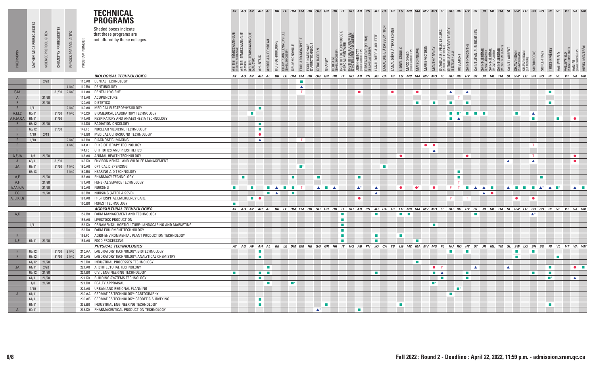|                |                           |             |               |             |                | <b>TECHNICAL</b><br><b>PROGRAMS</b>                                                |                             |                                                                        |                             |                             |                  |                                                      |                              | AT AO AV AH AL BB LE DM EM HB GG GR HR IT HQ AB PN JO CA TB LG MC MA MV MO FL HU RO HY ST JR ML TM SL SW LQ SH SO |                             |                             |                                               |                                        |                                |                             |                                           |              |                              |                             |                |                              |                               |                                       |                             |                          |                                                    |                                |              |                            |                       |                             |                    | $RI$ $VL$                              |                                 | VT VA VM                        |  |
|----------------|---------------------------|-------------|---------------|-------------|----------------|------------------------------------------------------------------------------------|-----------------------------|------------------------------------------------------------------------|-----------------------------|-----------------------------|------------------|------------------------------------------------------|------------------------------|-------------------------------------------------------------------------------------------------------------------|-----------------------------|-----------------------------|-----------------------------------------------|----------------------------------------|--------------------------------|-----------------------------|-------------------------------------------|--------------|------------------------------|-----------------------------|----------------|------------------------------|-------------------------------|---------------------------------------|-----------------------------|--------------------------|----------------------------------------------------|--------------------------------|--------------|----------------------------|-----------------------|-----------------------------|--------------------|----------------------------------------|---------------------------------|---------------------------------|--|
|                | MATHEMATICS PREREQUISITES |             | PREREQUISITES | QUISITES    |                | Shaded boxes indicate<br>that these programs are<br>not offered by these colleges. |                             |                                                                        |                             |                             |                  |                                                      |                              |                                                                                                                   |                             |                             | TECHNOLOGIE                                   | RISME ET<br>QUEBEC                     |                                |                             | REANNE                                    |              |                              |                             |                |                              | RIELLE-                       |                                       |                             |                          |                                                    |                                |              |                            |                       |                             |                    |                                        |                                 |                                 |  |
|                |                           |             | CHEMISTRY     | PRE         | PROGRAM NUMBER |                                                                                    |                             | ABITIBI-TÉMISCAMINGUE<br>(AMOS)<br>ABITIBI-TÉMISCAMINGUE<br>(VAL-D'OR) |                             | ANDRÉ-LAURENDEAU            | BOIS-DE-BOULOGNE | CHAMPLAIN LENNOXV<br>(ENGLISH CÉGEP)                 | ÉDOUARD-MONTP<br>UMMONDVILLE | ÉCOLE NATIONALE<br>D'AÉROTECHNIQUE                                                                                | GÉRALD-GODIN                |                             |                                               | INSTITUT DE TOURI<br>D'HÔTELLERIE DU C | NATIONS (KIUNA)<br>JUAL CÉGEP) | ANAUDIÈRE À JOLIETTE        | LANAUDIÈRE À L'ASSOMPTION<br>LANAUDIÈRE À | JONEL-GROULX |                              | MAISONNEUVE                 | MARIE-VICTORIN | VIONTMORENC                  | <b>IRD</b>                    |                                       | SAINT-HYACINTHE             | SAINT-JEAN-SUR-RICHELIEU |                                                    | SAINT-JÉRÔME<br>(MONT-TREMBLA) | SAINT-LAUREN |                            |                       |                             |                    | TROIS-RIVIÈRE                          | VALLEYFIELD<br>(SAINT-CONSTANT) | CÉGEP)                          |  |
|                |                           | SCIENCE     |               | PHYSICS     |                |                                                                                    | ABITIBI-TÉMIS<br>(ROJIMM    |                                                                        |                             | AHUNTSI                     |                  | 좀                                                    |                              |                                                                                                                   | GRANBY                      | HERITAGE<br>(ENGLISH CÉ     | INSTITUT DE T<br>AGROALIMEN                   |                                        | TRST<br>Rilinic                |                             |                                           |              | MACDONALD<br>(ENGLISH CÉGEP) |                             |                | OUTAOUAIS :<br>secteur gativ | OUTAOUAIS :<br>(SECTEIR HIII) | ROSEMONT                              |                             |                          | SAINT-JÉRÔM<br>SAINT-JÉRÔME)<br>INT-JER<br>MTI AUB |                                |              | SHAWINIGAN<br>(SHAWINIGAN) | SHAWINI<br>(LA TUQUE) | SHERBROOKE                  | SOREL-TRACY        | VALLEYFIELD                            |                                 | VANIER<br>(ENGLISH              |  |
|                |                           |             |               |             |                | <b>BIOLOGICAL TECHNOLOGIES</b>                                                     |                             | AT AO                                                                  | AV<br>AH                    | <b>AL</b>                   | BB               | LE DM EM                                             |                              | HB                                                                                                                | GG<br>GR                    | <b>HR</b>                   | IT                                            | HQ<br>AB                               | PN                             | JO                          | CA<br>TB                                  | LG           | МC                           | МA                          | МV             | МO                           | <b>FL</b>                     | HU RO                                 | <b>HY</b>                   | ST                       | ML<br>JR                                           | <b>TM</b>                      | SL           | sw                         | LQ                    | SH                          | so                 | <b>RI</b><br>VL                        |                                 | VT VA VM                        |  |
|                |                           | 2/20        |               |             |                | 110.A0 DENTAL TECHNOLOGY                                                           |                             |                                                                        |                             |                             |                  |                                                      |                              |                                                                                                                   |                             |                             |                                               |                                        |                                |                             |                                           |              |                              |                             |                |                              |                               |                                       |                             |                          |                                                    |                                |              |                            |                       |                             |                    |                                        |                                 |                                 |  |
|                |                           |             |               | 41/40       | 110.B0         | DENTUROLOGY                                                                        |                             |                                                                        |                             |                             |                  |                                                      | ▲                            |                                                                                                                   |                             |                             |                                               |                                        |                                |                             |                                           |              |                              |                             |                |                              |                               |                                       |                             |                          |                                                    |                                |              |                            |                       |                             |                    |                                        |                                 |                                 |  |
| F, JA          |                           |             |               | 31/30 21/40 | 111.A0         | DENTAL HYGIENE                                                                     |                             |                                                                        |                             |                             |                  |                                                      |                              |                                                                                                                   |                             |                             |                                               |                                        |                                |                             | $\bullet$                                 |              |                              | $\bullet$                   |                |                              | $\blacktriangle$              |                                       | $\blacktriangle$            |                          |                                                    |                                |              |                            |                       |                             |                    | $\mathbf{r}$                           |                                 |                                 |  |
| A              |                           | 21/20       |               |             |                | 112.A0 ACUPUNCTURE                                                                 |                             |                                                                        |                             |                             |                  |                                                      |                              |                                                                                                                   |                             |                             |                                               |                                        |                                |                             |                                           |              |                              |                             |                |                              |                               | T                                     |                             |                          |                                                    |                                |              |                            |                       |                             |                    |                                        |                                 |                                 |  |
| F.             |                           | 21/20       |               |             |                | 120.A0 DIETETICS                                                                   |                             |                                                                        |                             |                             |                  |                                                      |                              |                                                                                                                   |                             |                             |                                               |                                        |                                |                             |                                           |              |                              | $\mathcal{L}_{\mathcal{A}}$ |                | <b>College</b>               | $\mathcal{L}_{\mathcal{A}}$   |                                       | $\sim$                      |                          |                                                    |                                |              |                            |                       |                             |                    | $\mathcal{L}_{\mathcal{A}}$            |                                 |                                 |  |
| F              | 1/11                      |             |               | 21/40       | 140.A0         | MEDICAL ELECTROPHYSIOLOGY                                                          |                             |                                                                        |                             | $\mathcal{L}_{\mathcal{A}}$ |                  |                                                      |                              |                                                                                                                   |                             |                             |                                               |                                        |                                |                             |                                           |              |                              |                             |                |                              |                               |                                       |                             |                          |                                                    |                                |              |                            |                       |                             |                    |                                        |                                 |                                 |  |
| A,F,LC         | 60/11                     |             |               | 31/30 41/40 | 140.CO         | BIOMEDICAL LABORATORY TECHNOLOGY                                                   |                             |                                                                        | $\mathcal{L}_{\mathcal{A}}$ |                             |                  |                                                      |                              |                                                                                                                   |                             |                             |                                               |                                        |                                |                             |                                           |              |                              |                             |                |                              |                               | $\blacksquare$ $\blacksquare$ $\star$ | $\mathcal{L}_{\rm{max}}$    | $\sim$                   |                                                    |                                |              | <b>COL</b>                 |                       | $\blacktriangle$            |                    |                                        |                                 |                                 |  |
| A,F,JA,QA      | 61/11                     |             | 31/30         |             | 141.A0         | RESPIRATORY AND ANAESTHESIA TECHNOLOGY                                             |                             |                                                                        |                             |                             |                  |                                                      |                              |                                                                                                                   |                             |                             |                                               |                                        |                                |                             |                                           |              |                              |                             |                |                              | $\mathcal{L}_{\mathcal{A}}$   |                                       |                             |                          |                                                    |                                |              |                            |                       |                             |                    | $\mathcal{L}_{\mathcal{A}}$            |                                 |                                 |  |
|                |                           | 63/12 21/20 |               |             |                | 142.D0 RADIATION ONCOLOGY                                                          |                             |                                                                        |                             | $\mathcal{L}_{\mathcal{A}}$ |                  |                                                      |                              |                                                                                                                   |                             |                             |                                               |                                        |                                |                             |                                           |              |                              |                             |                |                              |                               |                                       |                             |                          |                                                    |                                |              |                            |                       |                             |                    |                                        |                                 |                                 |  |
|                | 63/12                     |             | 31/30         |             | 142.FO         | NUCLEAR MEDICINE TECHNOLOGY                                                        |                             |                                                                        |                             | <b>COL</b>                  |                  |                                                      |                              |                                                                                                                   |                             |                             |                                               |                                        |                                |                             |                                           |              |                              |                             |                |                              |                               |                                       |                             |                          |                                                    |                                |              |                            |                       |                             |                    |                                        |                                 |                                 |  |
| F.             | 1/10                      | 2/19        |               |             | 142.GO         | MEDICAL ULTRASOUND TECHNOLOGY                                                      |                             |                                                                        |                             | $\bullet$                   |                  |                                                      |                              |                                                                                                                   |                             |                             |                                               |                                        |                                |                             |                                           |              |                              |                             |                |                              |                               |                                       |                             |                          |                                                    |                                |              |                            |                       |                             |                    |                                        |                                 |                                 |  |
| F.             | 1/10                      |             |               | 21/40       |                | 142.H0 DIAGNOSTIC IMAGING                                                          |                             |                                                                        |                             | $\blacktriangle$            |                  |                                                      |                              |                                                                                                                   |                             |                             |                                               |                                        |                                |                             |                                           |              |                              |                             |                |                              |                               |                                       |                             |                          |                                                    |                                |              |                            |                       |                             |                    |                                        |                                 |                                 |  |
| F              |                           |             |               | 41/40       | 144.A1         | PHYSIOTHERAPY TECHNOLOGY                                                           |                             |                                                                        |                             |                             |                  |                                                      |                              |                                                                                                                   |                             |                             |                                               |                                        |                                |                             |                                           |              |                              |                             | $\bullet$      |                              |                               |                                       |                             |                          |                                                    |                                |              |                            |                       |                             |                    |                                        |                                 |                                 |  |
| F.             |                           |             |               |             | 144.FO         | ORTHOTICS AND PROSTHETICS                                                          |                             |                                                                        |                             |                             |                  |                                                      |                              |                                                                                                                   |                             |                             |                                               |                                        |                                |                             |                                           |              |                              |                             |                | $\blacktriangle$             |                               |                                       |                             |                          |                                                    |                                |              |                            |                       |                             |                    |                                        |                                 |                                 |  |
| A,F,JA         |                           | $1/9$ 21/20 |               |             | 145.A0         | ANIMAL HEALTH TECHNOLOGY                                                           |                             |                                                                        |                             |                             |                  |                                                      |                              |                                                                                                                   |                             |                             |                                               |                                        |                                |                             |                                           | $\bullet$    |                              |                             |                |                              |                               |                                       |                             |                          |                                                    |                                |              |                            |                       |                             |                    |                                        |                                 | $\bullet$                       |  |
| $\overline{A}$ | 63/11                     |             | 31/30         |             | 145.CO         | ENVIRONMENTAL AND WILDLIFE MANAGEMENT                                              |                             |                                                                        |                             |                             |                  |                                                      |                              |                                                                                                                   |                             |                             |                                               |                                        |                                |                             |                                           |              |                              |                             |                |                              |                               |                                       |                             |                          |                                                    |                                |              |                            |                       |                             |                    |                                        |                                 | $\bullet$                       |  |
| JA             | 63/11                     |             |               | 21/30 41/40 | 160.A0         | OPTICAL DISPENSING                                                                 |                             |                                                                        |                             |                             |                  |                                                      | $\blacksquare$               |                                                                                                                   |                             |                             |                                               |                                        |                                |                             | П                                         |              |                              |                             |                |                              |                               |                                       |                             |                          |                                                    |                                |              |                            |                       |                             |                    |                                        |                                 |                                 |  |
|                | 63/13                     |             |               | 41/40       | 160.B0         | HEARING AID TECHNOLOGY                                                             |                             |                                                                        |                             |                             |                  |                                                      |                              |                                                                                                                   |                             |                             |                                               |                                        |                                |                             |                                           |              |                              |                             |                |                              |                               | $\mathbf{r}$                          |                             |                          |                                                    |                                |              |                            |                       |                             |                    |                                        |                                 |                                 |  |
| A, F           |                           | 21/20       |               |             |                | 165.A0 PHARMACY TECHNOLOGY                                                         |                             | $\mathcal{L}_{\mathcal{A}}$                                            |                             |                             |                  |                                                      | $\mathcal{L}_{\rm{eff}}$     |                                                                                                                   | $\mathcal{L}_{\mathcal{A}}$ |                             |                                               | $\blacksquare$                         |                                |                             |                                           |              |                              |                             |                |                              |                               | $\mathcal{L}_{\mathcal{A}}$           |                             |                          |                                                    |                                |              |                            |                       |                             | $\mathbf{r}$       |                                        |                                 |                                 |  |
| A, F           |                           | 21/20       |               |             |                | 171.A0 FUNERAL SERVICE TECHNOLOGY                                                  |                             |                                                                        |                             |                             |                  |                                                      |                              |                                                                                                                   |                             |                             |                                               |                                        |                                |                             |                                           |              |                              |                             |                |                              |                               |                                       |                             |                          |                                                    |                                |              |                            |                       |                             |                    |                                        |                                 |                                 |  |
| A,AA,F,JA      |                           | 21/20       |               |             |                | 180.A0 NURSING                                                                     | $\mathcal{L}_{\mathcal{A}}$ |                                                                        | п                           | п                           |                  | $\mathcal{L}_{\rm{max}}$<br><b>The Second Second</b> |                              |                                                                                                                   | $\mathcal{L}_{\mathcal{A}}$ |                             |                                               | $\blacktriangle^*$                     |                                | ▲                           |                                           |              |                              |                             |                |                              |                               |                                       | $\mathcal{L}_{\mathcal{A}}$ |                          |                                                    |                                |              |                            |                       | $\mathcal{L}_{\mathcal{A}}$ | $\blacktriangle^*$ | $\blacktriangle$                       |                                 |                                 |  |
| F,G            |                           | 21/20       |               |             | 180.B0         | NURSING (AFTER A SSVD)                                                             |                             |                                                                        |                             | $\mathcal{L}_{\mathcal{A}}$ | ▲                |                                                      | <b>The State</b>             |                                                                                                                   | $\blacktriangle$            | $\blacktriangle$            |                                               |                                        |                                |                             |                                           |              |                              |                             |                |                              |                               |                                       |                             | $\blacktriangle$         | $\blacktriangle$<br>$\bullet$                      |                                |              |                            |                       |                             |                    |                                        |                                 | $\blacktriangle$ $\blacksquare$ |  |
| A,F,I,K,LG     |                           |             |               |             | 181.A0         | PRE-HOSPITAL EMERGENCY CARE                                                        |                             |                                                                        | $\mathbf{r}$                |                             |                  |                                                      |                              |                                                                                                                   |                             |                             |                                               |                                        |                                | $\blacktriangle$            |                                           |              |                              |                             |                |                              |                               |                                       |                             |                          | $\blacktriangle$                                   |                                |              | $\bullet$                  |                       |                             |                    |                                        |                                 |                                 |  |
|                |                           |             |               |             |                | 190.B0 FOREST TECHNOLOGY                                                           | <b>Contract</b>             |                                                                        | $\bullet$                   |                             |                  |                                                      |                              |                                                                                                                   |                             |                             |                                               |                                        |                                |                             |                                           |              |                              |                             |                |                              |                               |                                       |                             |                          |                                                    |                                |              |                            |                       |                             |                    |                                        |                                 |                                 |  |
|                |                           |             |               |             |                |                                                                                    |                             |                                                                        |                             |                             |                  |                                                      |                              |                                                                                                                   |                             |                             |                                               |                                        |                                |                             |                                           |              |                              |                             |                |                              |                               |                                       |                             |                          |                                                    |                                |              |                            |                       |                             |                    |                                        |                                 |                                 |  |
|                |                           |             |               |             |                | <b>AGRICULTURAL TECHNOLOGIES</b>                                                   |                             |                                                                        |                             | AT AO AV AH AL              |                  |                                                      |                              | BBLEDMEM HBGGGRHRIT HQABPN JOCA TBLGMCMAMV MOFL HUROHY ST JRMLTM SLSW LQSH SORI VLVT VAVM                         |                             |                             |                                               |                                        |                                |                             |                                           |              |                              |                             |                |                              |                               |                                       |                             |                          |                                                    |                                |              |                            |                       |                             |                    |                                        |                                 |                                 |  |
| A,K            |                           |             |               |             | 152.B0         | FARM MANAGEMENT AND TECHNOLOGY                                                     |                             |                                                                        |                             |                             |                  |                                                      |                              |                                                                                                                   |                             |                             |                                               |                                        |                                |                             |                                           |              |                              |                             |                |                              |                               |                                       |                             |                          |                                                    |                                |              |                            |                       |                             |                    |                                        |                                 |                                 |  |
|                |                           |             |               |             | 153.CO         | 153.A0 LIVESTOCK PRODUCTION                                                        |                             |                                                                        |                             |                             |                  |                                                      |                              |                                                                                                                   |                             |                             | $\mathcal{L}_{\mathcal{A}}$<br>$\blacksquare$ |                                        |                                |                             |                                           |              |                              |                             |                |                              |                               |                                       |                             |                          |                                                    |                                |              |                            |                       |                             |                    |                                        |                                 |                                 |  |
|                | 1/11                      |             |               |             | 153.DO         | ORNAMENTAL HORTICULTURE: LANDSCAPING AND MARKETING<br>FARM EQUIPMENT TECHNOLOGY    |                             |                                                                        |                             |                             |                  |                                                      |                              |                                                                                                                   |                             |                             | <b>The State</b>                              |                                        |                                |                             |                                           |              |                              |                             |                |                              |                               |                                       |                             |                          |                                                    |                                |              |                            |                       |                             |                    |                                        |                                 |                                 |  |
|                |                           |             |               |             |                | AGRO-ENVIRONMENTAL PLANT PRODUCTION TECHNOLOGY                                     |                             |                                                                        |                             |                             |                  |                                                      |                              |                                                                                                                   |                             |                             |                                               |                                        |                                |                             |                                           |              |                              |                             |                |                              |                               |                                       |                             |                          |                                                    |                                |              |                            |                       |                             |                    |                                        |                                 |                                 |  |
| K              |                           |             |               |             | 153.FO         |                                                                                    |                             |                                                                        |                             |                             |                  |                                                      |                              |                                                                                                                   |                             |                             | <b>The State</b>                              |                                        |                                | $\mathcal{L}_{\mathcal{A}}$ |                                           |              |                              |                             |                |                              |                               |                                       |                             |                          |                                                    |                                |              |                            |                       |                             |                    |                                        |                                 |                                 |  |
| L, F           |                           | 61/11 21/20 |               |             |                | 154.A0 FOOD PROCESSING                                                             |                             |                                                                        |                             |                             |                  |                                                      |                              |                                                                                                                   |                             |                             |                                               |                                        |                                |                             |                                           |              |                              |                             |                |                              |                               |                                       |                             |                          |                                                    |                                |              |                            |                       |                             |                    |                                        |                                 |                                 |  |
|                |                           |             |               |             |                | PHYSICAL TECHNOLOGIES                                                              |                             |                                                                        |                             | AT AO AV AH AL              |                  | <b>BB</b> LE DM EM                                   |                              | HB GG GR                                                                                                          |                             |                             | HR IT HQ AB PN JO CA TB LG MC MA MV MO FL     |                                        |                                |                             |                                           |              |                              |                             |                |                              |                               | HU RO HY ST                           |                             |                          |                                                    |                                |              |                            |                       |                             |                    | JR ML TM SL SW LQ SH SO RI VL VT VA VM |                                 |                                 |  |
| F              | 63/12                     |             |               |             |                | 31/30 21/40 210.AA LABORATORY TECHNOLOGY: BIOTECHNOLOGY                            |                             |                                                                        |                             | <b>COL</b>                  |                  |                                                      |                              |                                                                                                                   |                             |                             |                                               |                                        |                                |                             |                                           |              |                              |                             |                |                              | <b>College</b>                |                                       |                             |                          |                                                    |                                |              |                            |                       |                             |                    |                                        |                                 |                                 |  |
| F              | 63/12                     |             |               |             |                | 31/30 21/40 210.AB LABORATORY TECHNOLOGY: ANALYTICAL CHEMISTRY                     |                             |                                                                        |                             | $\mathbf{r}$                |                  |                                                      |                              |                                                                                                                   |                             |                             |                                               |                                        |                                |                             |                                           |              |                              |                             |                |                              |                               |                                       |                             |                          |                                                    |                                |              |                            |                       |                             |                    | $\sim$                                 |                                 |                                 |  |
|                |                           | 61/12 21/20 |               |             |                | 210.D0 INDUSTRIAL PROCESSES TECHNOLOGY                                             |                             |                                                                        |                             |                             |                  |                                                      |                              |                                                                                                                   |                             |                             |                                               |                                        |                                |                             |                                           |              |                              | <b>The Co</b>               |                |                              |                               |                                       |                             |                          |                                                    |                                |              |                            |                       |                             |                    |                                        |                                 |                                 |  |
| JA             | 61/11 2/20                |             |               |             | 221.A0         | ARCHITECTURAL TECHNOLOGY                                                           |                             |                                                                        |                             |                             |                  |                                                      |                              |                                                                                                                   |                             |                             |                                               |                                        |                                |                             |                                           |              |                              |                             |                | $\bullet$                    |                               |                                       |                             |                          |                                                    |                                |              |                            |                       |                             |                    | $\blacksquare$                         |                                 | $\bullet$ $\blacksquare$        |  |
|                |                           | 63/12 21/20 |               |             |                | 221.B0 CIVIL ENGINEERING TECHNOLOGY                                                | <b>COLLEGE</b>              |                                                                        |                             | $\mathcal{L}_{\mathcal{A}}$ |                  |                                                      |                              |                                                                                                                   |                             |                             |                                               |                                        |                                |                             |                                           |              |                              |                             |                | $\mathcal{L}_{\mathcal{A}}$  |                               |                                       |                             |                          |                                                    |                                |              |                            |                       |                             |                    | $\mathbf{r}$                           |                                 |                                 |  |
|                |                           | 61/11 21/20 |               |             |                | 221.C0 BUILDING SYSTEMS TECHNOLOGY                                                 |                             |                                                                        |                             | $\mathcal{L}_{\mathcal{A}}$ |                  |                                                      |                              |                                                                                                                   |                             |                             |                                               |                                        |                                |                             |                                           |              |                              |                             |                | $\blacksquare$               |                               |                                       |                             |                          |                                                    |                                |              |                            |                       |                             |                    | ■*                                     |                                 | $\blacktriangle$                |  |
|                |                           | $1/8$ 21/20 |               |             |                | 221.D0 REALTY APPRAISAL                                                            |                             |                                                                        |                             | ш                           |                  | $\blacksquare^*$                                     |                              |                                                                                                                   |                             |                             |                                               |                                        |                                |                             |                                           |              |                              |                             |                |                              |                               |                                       |                             |                          |                                                    |                                |              |                            |                       |                             |                    |                                        |                                 |                                 |  |
|                | 1/10                      |             |               |             |                | 222.A0 URBAN AND REGIONAL PLANNING                                                 |                             |                                                                        |                             |                             |                  |                                                      |                              |                                                                                                                   |                             |                             |                                               |                                        |                                |                             |                                           |              |                              |                             |                |                              |                               | — *                                   |                             |                          |                                                    |                                |              |                            |                       |                             |                    |                                        |                                 |                                 |  |
| $\mathsf{A}$   | 61/11                     |             |               |             |                | 230.AA GEOMATICS TECHNOLOGY: CARTOGRAPHY                                           |                             |                                                                        |                             |                             |                  |                                                      |                              |                                                                                                                   |                             |                             |                                               |                                        |                                |                             |                                           |              |                              |                             |                |                              |                               |                                       |                             |                          |                                                    |                                |              |                            |                       |                             |                    |                                        |                                 |                                 |  |
|                | 61/11                     |             |               |             |                | 230.AB GEOMATICS TECHNOLOGY: GEODETIC SURVEYING                                    |                             |                                                                        |                             | $\mathcal{L}_{\mathcal{A}}$ |                  |                                                      |                              |                                                                                                                   |                             |                             |                                               |                                        |                                |                             |                                           |              |                              |                             |                |                              |                               |                                       |                             |                          |                                                    |                                |              |                            |                       |                             |                    |                                        |                                 |                                 |  |
|                | 61/11                     |             |               |             |                | 235.B0 INDUSTRIAL ENGINEERING TECHNOLOGY                                           |                             |                                                                        |                             | $\mathcal{L}_{\mathcal{A}}$ |                  |                                                      |                              |                                                                                                                   |                             | $\mathcal{L}_{\mathcal{A}}$ |                                               |                                        |                                |                             |                                           |              |                              |                             |                |                              |                               |                                       |                             |                          |                                                    |                                |              |                            |                       |                             |                    | <b>COL</b>                             |                                 |                                 |  |
| $\overline{A}$ | 60/11                     |             |               |             | 235.CO         | PHARMACEUTICAL PRODUCTION TECHNOLOGY                                               |                             |                                                                        |                             |                             |                  |                                                      |                              |                                                                                                                   | $\blacktriangle^*$          |                             |                                               | ш                                      |                                |                             |                                           |              |                              |                             |                |                              |                               |                                       |                             |                          |                                                    |                                |              |                            |                       |                             |                    |                                        |                                 |                                 |  |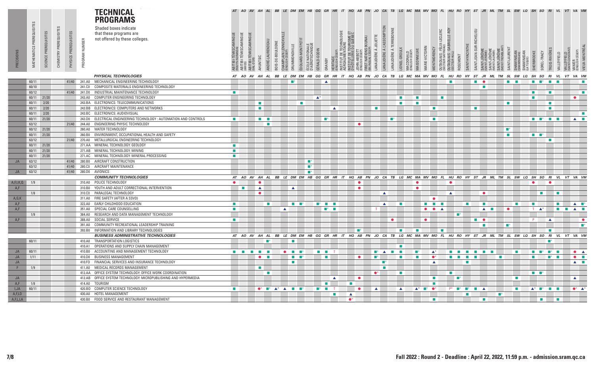|           |               |                     |           |               |                  | <b>TECHNICAL</b><br><b>PROGRAMS</b>                                 |                                     |                                                                                   |                          |                  |                                                                |                              |                |                                    |                                     |                             | AT AO AV AH AL BB LE DM EM HB GG GR HR IT HQ AB PN JO CA TB LG MC MA MV MO FL HU RO HY ST JR ML TM SL SW LQ SH SO RI VL VT VA VM |                          |               |                       |                            |               |                              |                                     |                                      |                                               |                               |                          |                  |                             |                              |                                                       |                  |                                  |                          |                                                 |                             |                              |                               |                                            |
|-----------|---------------|---------------------|-----------|---------------|------------------|---------------------------------------------------------------------|-------------------------------------|-----------------------------------------------------------------------------------|--------------------------|------------------|----------------------------------------------------------------|------------------------------|----------------|------------------------------------|-------------------------------------|-----------------------------|----------------------------------------------------------------------------------------------------------------------------------|--------------------------|---------------|-----------------------|----------------------------|---------------|------------------------------|-------------------------------------|--------------------------------------|-----------------------------------------------|-------------------------------|--------------------------|------------------|-----------------------------|------------------------------|-------------------------------------------------------|------------------|----------------------------------|--------------------------|-------------------------------------------------|-----------------------------|------------------------------|-------------------------------|--------------------------------------------|
|           | PREREQUISITES |                     |           |               |                  | Shaded boxes indicate                                               |                                     |                                                                                   |                          |                  |                                                                |                              |                |                                    |                                     |                             |                                                                                                                                  |                          |               |                       |                            |               |                              |                                     |                                      |                                               |                               |                          |                  |                             |                              |                                                       |                  |                                  |                          |                                                 |                             |                              |                               |                                            |
|           |               | TES                 |           |               |                  | that these programs are                                             |                                     |                                                                                   |                          |                  |                                                                |                              |                |                                    |                                     |                             |                                                                                                                                  |                          |               |                       | LANAUDIÈRE À L'ASSOMPTION  |               |                              |                                     |                                      | OUTAOUAIS : FÉLIX-LECLERC<br>©ECTEUR GATINEAU | IELLE-ROY                     |                          |                  | SAINT-JEAN-SUR-RICHELIEU    |                              |                                                       |                  |                                  |                          |                                                 |                             |                              |                               |                                            |
|           |               |                     | REQUISIT  | PREREQUISITES |                  | not offered by these colleges.                                      |                                     | ABITIBI-TÉMISCAMINGUE<br>(AMOS)<br>ABITIBI-TÉMISCAMINGUE<br><sub>(VAL-D'OR)</sub> |                          |                  |                                                                |                              |                |                                    |                                     |                             | NSTITUT DE TECHNOLOGIE<br>AGROALIMENTAIRE<br>INSTITUT DE TOURISME ET<br>D'HÔTELLERIE DU QUEBEC                                   |                          |               | LANAUDIÈRE À JOLIETTE |                            |               |                              |                                     |                                      |                                               |                               |                          |                  |                             |                              |                                                       |                  |                                  |                          |                                                 |                             |                              |                               |                                            |
|           |               |                     |           |               |                  |                                                                     |                                     |                                                                                   |                          |                  |                                                                |                              |                |                                    |                                     |                             |                                                                                                                                  |                          | <b>KIUNA</b>  |                       |                            |               |                              |                                     |                                      |                                               |                               |                          |                  |                             |                              |                                                       |                  |                                  |                          |                                                 |                             |                              |                               |                                            |
|           |               |                     |           |               |                  |                                                                     |                                     |                                                                                   |                          |                  |                                                                |                              |                |                                    |                                     |                             |                                                                                                                                  |                          |               |                       |                            |               |                              |                                     |                                      |                                               | GABI                          |                          |                  |                             |                              |                                                       |                  |                                  |                          |                                                 |                             |                              |                               |                                            |
|           |               |                     |           |               |                  |                                                                     |                                     |                                                                                   |                          |                  |                                                                |                              |                |                                    |                                     |                             |                                                                                                                                  |                          |               |                       |                            |               |                              |                                     |                                      |                                               |                               |                          |                  |                             |                              |                                                       |                  |                                  |                          |                                                 |                             |                              |                               |                                            |
| PRECISION | MATHEMATICS   | SCIENCE             | CHEMISTRY |               | PROGRAM NUMBER   |                                                                     |                                     |                                                                                   |                          |                  |                                                                |                              |                |                                    |                                     |                             |                                                                                                                                  | JHN-ABBU<br>MGJI SH CÉGE |               |                       |                            |               |                              |                                     |                                      |                                               |                               |                          |                  |                             |                              |                                                       |                  |                                  |                          |                                                 |                             |                              |                               |                                            |
|           |               |                     |           | PHYSICS       |                  |                                                                     | ABITIBI-TÉMISCAM<br>(ROUYN-NORANDA) |                                                                                   | AHUNTSIC                 | ANDRÉ-LAURENDEAU | CHAMPLAIN LENNOX<br>(ENGLISH CÉGEP)<br><b>BOIS-DE-BOULOGNE</b> | DRUMMONDVILLE                | ÉDOUARD-MONTPE | ÉCOLE NATIONALE<br>D'AÉROTECHNIQUE | GÉRALD-GODIN<br>GRANBY              | HERITAGE<br>ENGLISH CI      |                                                                                                                                  |                          | FIRST NATIONS |                       | LANAUDIÈRE À TE            | LIONEL-GROULX | MACDONALD<br>(ENGLISH CÉGEP) | MAISONNEUVE                         | MARIE-VICTORIN<br><b>MONTMORENCY</b> |                                               | OUTAQUAIS :<br>(SECTEIR PITT) | <b>TNOM3SOS</b>          | SAINT-HYACINTHE  |                             | SAINT-JEROM<br>ISAINT-JEROMI | SAINT-JÉRÔME<br>AONT TEEABLAN<br>AINT-JEI<br>AINT-IAU | SAINT-LAUREN     | <b>SHAWINIGAN</b><br>CHAMMINIGAN | SHAWINIGAN<br>(LA TUQUE) | SHERBROOKE<br>SOREL-TRACY                       | TROIS-RIVIÈRES              | VALLEYFIELD                  | VALLEYFIELD<br>«AINT-CONSTANT | /IEUX-MONTRÉA<br>VANIER<br>(ENGLISH CÉGEP) |
|           |               |                     |           |               |                  |                                                                     |                                     |                                                                                   |                          |                  |                                                                |                              |                |                                    |                                     |                             |                                                                                                                                  |                          |               |                       |                            |               |                              |                                     |                                      |                                               |                               |                          |                  |                             |                              |                                                       |                  |                                  |                          |                                                 |                             |                              |                               |                                            |
|           |               |                     |           |               |                  | PHYSICAL TECHNOLOGIES                                               |                                     | AT AO AV AH AL                                                                    |                          |                  | BB                                                             |                              |                |                                    |                                     |                             | LE DM EM HB GG GR HR IT HQ AB PN JO CA TB LG MC MA MV MO FL HU RO HY ST JR ML TM SL SW LQ SH SO RI                               |                          |               |                       |                            |               |                              |                                     |                                      |                                               |                               |                          |                  |                             |                              |                                                       |                  |                                  |                          |                                                 |                             | VL                           |                               | VT VA VM                                   |
|           | 60/11         |                     |           |               |                  | 41/40 241.A0 MECHANICAL ENGINEERING TECHNOLOGY                      |                                     |                                                                                   |                          |                  |                                                                | œ                            |                |                                    |                                     |                             |                                                                                                                                  |                          |               |                       |                            |               |                              |                                     |                                      |                                               |                               |                          |                  | <b>The Second</b>           |                              |                                                       | <b>Tale</b>      |                                  |                          | <b>The State</b>                                |                             |                              |                               |                                            |
|           | 60/10         |                     |           |               | 241.CO           | COMPOSITE MATERIALS ENGINEERING TECHNOLOGY                          |                                     |                                                                                   |                          |                  |                                                                |                              |                |                                    |                                     |                             |                                                                                                                                  |                          |               |                       |                            |               |                              |                                     |                                      |                                               |                               |                          |                  |                             | m.                           |                                                       |                  |                                  |                          |                                                 |                             |                              |                               |                                            |
|           | 60/12         |                     |           |               | 41/40 241.DO     | INDUSTRIAL MAINTENANCE TECHNOLOGY                                   | $\mathcal{L}_{\mathcal{A}}$         |                                                                                   |                          |                  |                                                                |                              |                |                                    |                                     |                             |                                                                                                                                  |                          |               |                       |                            |               |                              |                                     |                                      |                                               |                               |                          |                  |                             |                              |                                                       |                  |                                  |                          | $\mathcal{L}_{\mathcal{A}}$                     | <b>COL</b>                  |                              |                               | $\blacksquare$                             |
|           | 60/11         | 60/11 21/20<br>2/20 |           |               | 243.A0<br>243.BA | COMPUTER ENGINEERING TECHNOLOGY<br>ELECTRONICS: TELECOMMUNICATIONS  |                                     |                                                                                   | $\mathbf{r}$             |                  |                                                                |                              | п              |                                    | $\blacktriangle^4$                  |                             |                                                                                                                                  |                          |               |                       |                            |               |                              | $\sim$                              |                                      |                                               |                               |                          |                  |                             |                              |                                                       | <b>COL</b>       |                                  |                          |                                                 | $\blacksquare$              |                              |                               | $\bullet$                                  |
|           | 60/11         | 2/20                |           |               | 243.BB           | ELECTRONICS: COMPUTERS AND NETWORKS                                 |                                     |                                                                                   | <b>The State</b>         |                  |                                                                |                              |                |                                    |                                     | ▲                           |                                                                                                                                  |                          |               | <b>College</b>        |                            |               |                              |                                     |                                      | ш                                             |                               |                          |                  | <b>College</b>              |                              |                                                       |                  |                                  |                          |                                                 | п                           |                              |                               |                                            |
|           | 60/11         | 2/20                |           |               | 243.BC           | ELECTRONICS: AUDIOVISUAL                                            |                                     |                                                                                   |                          |                  |                                                                |                              |                |                                    |                                     |                             |                                                                                                                                  |                          |               |                       |                            |               |                              |                                     |                                      |                                               |                               |                          |                  |                             |                              |                                                       |                  |                                  |                          |                                                 |                             |                              |                               | <b>COL</b>                                 |
|           | 60/11         | 21/20               |           |               | 243.DO           | ELECTRICAL ENGINEERING TECHNOLOGY : AUTOMATION AND CONTROLS         | $\mathbf{r}$                        |                                                                                   | <b>Contract</b>          |                  |                                                                |                              |                |                                    | $\blacksquare^*$                    |                             |                                                                                                                                  |                          |               |                       | m,                         |               |                              |                                     |                                      |                                               |                               |                          |                  |                             |                              |                                                       |                  |                                  |                          | $\mathcal{L}_{\mathcal{A}}$<br>$\blacksquare^*$ | <b>COLLEGE</b>              |                              |                               | $\blacktriangle$ $\blacksquare$            |
|           | 63/12         |                     |           |               | 21/40 244.A0     | ENGINEERING PHYSIC TECHNOLOGY                                       |                                     |                                                                                   |                          |                  |                                                                |                              |                |                                    |                                     |                             |                                                                                                                                  | $\bullet$                |               |                       |                            |               |                              |                                     |                                      |                                               |                               |                          |                  |                             |                              |                                                       |                  |                                  |                          |                                                 |                             |                              |                               |                                            |
|           |               | 60/12 21/20         |           |               |                  | 260.A0 WATER TECHNOLOGY                                             |                                     |                                                                                   |                          |                  |                                                                |                              |                |                                    |                                     |                             |                                                                                                                                  |                          |               |                       |                            |               |                              |                                     |                                      |                                               |                               |                          |                  |                             |                              |                                                       | ■                |                                  |                          |                                                 |                             |                              |                               |                                            |
|           | 60/11 21/20   |                     |           |               | 260.BO           | ENVIRONMENT, OCCUPATIONAL HEALTH AND SAFETY                         |                                     |                                                                                   |                          |                  |                                                                |                              |                |                                    |                                     |                             |                                                                                                                                  |                          |               |                       |                            |               |                              |                                     |                                      |                                               |                               |                          |                  |                             |                              |                                                       | <b>Ta</b>        |                                  |                          | <b>The Co</b><br>$\blacksquare^*$               |                             |                              |                               |                                            |
|           | 63/12         |                     |           |               | 21/40 270.A0     | METALLURGICAL ENGINEERING TECHNOLOGY                                |                                     |                                                                                   |                          |                  |                                                                |                              |                |                                    |                                     |                             |                                                                                                                                  |                          |               |                       |                            |               |                              |                                     |                                      |                                               |                               |                          |                  |                             |                              |                                                       |                  |                                  |                          |                                                 |                             |                              |                               |                                            |
|           |               | 60/11 21/20         |           |               |                  | 271.AA MINERAL TECHNOLOGY: GEOLOGY                                  | $\mathcal{L}_{\mathcal{A}}$         |                                                                                   |                          |                  |                                                                |                              |                |                                    |                                     |                             |                                                                                                                                  |                          |               |                       |                            |               |                              |                                     |                                      |                                               |                               |                          |                  |                             |                              |                                                       |                  |                                  |                          |                                                 |                             |                              |                               |                                            |
|           |               | 60/11 21/20         |           |               | 271.AB           | MINERAL TECHNOLOGY: MINING                                          | ×                                   |                                                                                   |                          |                  |                                                                |                              |                |                                    |                                     |                             |                                                                                                                                  |                          |               |                       |                            |               |                              |                                     |                                      |                                               |                               |                          |                  |                             |                              |                                                       |                  |                                  |                          |                                                 |                             |                              |                               |                                            |
|           | 60/11         | 21/20               |           |               |                  | 271.AC MINERAL TECHNOLOGY: MINERAL PROCESSING                       | $\mathcal{L}_{\mathcal{A}}$         |                                                                                   |                          |                  |                                                                |                              |                |                                    |                                     |                             |                                                                                                                                  |                          |               |                       |                            |               |                              |                                     |                                      |                                               |                               |                          |                  |                             |                              |                                                       |                  |                                  |                          |                                                 |                             |                              |                               |                                            |
| JA        | 63/12         |                     |           | 41/40         | 280.B0           | AIRCRAFT CONSTRUCTION                                               |                                     |                                                                                   |                          |                  |                                                                |                              |                | $\blacksquare^*$                   |                                     |                             |                                                                                                                                  |                          |               |                       |                            |               |                              |                                     |                                      |                                               |                               |                          |                  |                             |                              |                                                       |                  |                                  |                          |                                                 |                             |                              |                               |                                            |
|           | 63/12         |                     |           | 41/40         | 280.CO           | AIRCRAFT MAINTENANCE                                                |                                     |                                                                                   |                          |                  |                                                                |                              |                | <b>Simple</b>                      |                                     |                             |                                                                                                                                  |                          |               |                       |                            |               |                              |                                     |                                      |                                               |                               |                          |                  |                             |                              |                                                       |                  |                                  |                          |                                                 |                             |                              |                               |                                            |
| JA        | 63/12         |                     |           | 41/40         |                  | 280.D0 AVIONICS                                                     |                                     |                                                                                   |                          |                  |                                                                |                              |                | $\blacksquare^*$                   |                                     |                             |                                                                                                                                  |                          |               |                       |                            |               |                              |                                     |                                      |                                               |                               |                          |                  |                             |                              |                                                       |                  |                                  |                          |                                                 |                             |                              |                               |                                            |
|           |               |                     |           |               |                  | <b>COMMUNITY TECHNOLOGIES</b>                                       |                                     | AT AO AV AH AL                                                                    |                          |                  | <b>BB</b>                                                      |                              |                | LE DM EM HB GG GR HR               |                                     |                             | IT HQ                                                                                                                            |                          | AB PN         |                       | JO CA TB                   |               |                              | LG MC MA MV MO FL                   |                                      |                                               |                               | HU RO                    | HY ST            |                             | JR                           | ML TM SL                                              |                  | SW LQ                            |                          | SH SO RI                                        |                             | <b>VL</b>                    |                               | VT VA VM                                   |
| A,F,I,K,Q | 1/9           |                     |           |               |                  | 310.A0 POLICE TECHNOLOGY                                            | $\bullet$                           |                                                                                   |                          |                  |                                                                |                              |                |                                    |                                     |                             |                                                                                                                                  |                          |               |                       |                            |               |                              |                                     |                                      |                                               |                               |                          |                  |                             |                              |                                                       |                  |                                  |                          |                                                 |                             |                              |                               |                                            |
| A, F      |               |                     |           |               | 310.BO           | YOUTH AND ADULT CORRECTIONAL INTERVENTION                           |                                     | $\mathcal{L}_{\mathrm{max}}$                                                      |                          |                  |                                                                | $\blacktriangle$             |                |                                    |                                     |                             |                                                                                                                                  | $\bullet$                |               |                       |                            |               |                              |                                     |                                      |                                               |                               |                          |                  |                             |                              |                                                       |                  |                                  |                          |                                                 |                             |                              |                               |                                            |
|           | 1/8           |                     |           |               | 310.CO           | PARALEGAL TECHNOLOGY                                                |                                     |                                                                                   | $\bullet$                |                  |                                                                |                              |                |                                    |                                     |                             |                                                                                                                                  |                          |               |                       | ▲                          |               |                              |                                     |                                      |                                               |                               |                          |                  |                             |                              |                                                       |                  |                                  |                          | <b>College</b>                                  |                             | $\sim$                       |                               |                                            |
| A, G, K   |               |                     |           |               |                  | 311.A0 FIRE SAFETY (AFTER A SSVD)                                   |                                     |                                                                                   |                          |                  |                                                                |                              |                |                                    |                                     |                             |                                                                                                                                  |                          |               |                       |                            |               |                              |                                     |                                      |                                               |                               |                          |                  |                             |                              |                                                       |                  |                                  |                          |                                                 |                             |                              |                               |                                            |
| A, F      |               |                     |           |               | 322.A0           | EARLY CHILDHOOD EDUCATION                                           | $\mathcal{L}_{\mathcal{A}}$         |                                                                                   |                          |                  |                                                                | $\mathcal{L}_{\mathrm{max}}$ | <b>TIP</b>     |                                    | $\blacksquare^*$<br><b>Contract</b> |                             |                                                                                                                                  |                          |               |                       | $\blacktriangle$           |               |                              |                                     | $\blacksquare$<br>$\blacksquare$     |                                               |                               |                          | $\blacksquare$   |                             | $\overline{\phantom{a}}$     |                                                       |                  | $\blacksquare$                   |                          |                                                 |                             | $\mathcal{L}_{\rm{max}}$     |                               | $\blacktriangle$ $\blacksquare^*$          |
| A, F      | 1/9           |                     |           |               | 351.A0<br>384.A0 | SPECIAL CARE COUNSELLING<br>RESEARCH AND DATA MANAGEMENT TECHNOLOGY | $\mathcal{L}_{\mathcal{A}}$         |                                                                                   |                          |                  |                                                                |                              |                |                                    | ▬                                   |                             |                                                                                                                                  |                          |               |                       |                            |               |                              |                                     | $\bullet$                            |                                               |                               | $\blacksquare^*$         |                  |                             | $\blacktriangle$             | <b>Contract Contract</b>                              | $\bullet$        |                                  |                          | $\blacktriangle^*$                              |                             | $\mathcal{L}_{\mathrm{max}}$ | $\sim$                        | $\blacktriangle$ $\blacksquare$            |
| A, F      |               |                     |           |               | 388.A0           | SOCIAL SERVICE                                                      | $\mathcal{L}_{\mathcal{A}}$         |                                                                                   |                          |                  |                                                                |                              |                |                                    |                                     |                             |                                                                                                                                  |                          |               |                       |                            |               |                              |                                     |                                      |                                               |                               |                          |                  | $\mathcal{L}_{\mathcal{A}}$ |                              |                                                       |                  |                                  |                          |                                                 |                             |                              |                               | ∙                                          |
|           |               |                     |           |               |                  | 391.A0 COMMUNITY RECREATIONAL LEADERSHIP TRAINING                   |                                     |                                                                                   |                          |                  |                                                                |                              |                |                                    |                                     |                             |                                                                                                                                  |                          |               |                       |                            |               |                              |                                     |                                      |                                               |                               |                          |                  |                             | m.                           |                                                       | $\blacksquare^*$ |                                  |                          |                                                 |                             |                              |                               | $\blacksquare^*$                           |
|           |               |                     |           |               |                  | 393.B0 INFORMATION AND LIBRARY TECHNOLOGIES                         |                                     |                                                                                   |                          |                  |                                                                |                              |                |                                    |                                     |                             |                                                                                                                                  | ■                        |               |                       |                            |               |                              |                                     |                                      | <b>The State</b>                              |                               |                          |                  |                             |                              |                                                       |                  |                                  |                          |                                                 |                             |                              |                               |                                            |
|           |               |                     |           |               |                  | <b>BUSINESS ADMINISTRATIVE TECHNOLOGIES</b>                         |                                     | AT AO AV AH AL                                                                    |                          |                  | <b>BR</b><br>IF                                                | <b>DM</b>                    | <b>FM</b>      |                                    | GG                                  |                             | HO                                                                                                                               | A <sub>R</sub>           | PN            | JO                    | CA TB                      |               | LG MC                        | MA MV MO                            |                                      | <b>FI</b>                                     |                               | HU RO                    | HY ST            |                             | $J\!R$                       | <b>TM</b>                                             | SL               | <b>SW 10</b>                     |                          | SH<br>so                                        | <b>RI</b>                   |                              |                               | VL VT VA VM                                |
|           | 60/11         |                     |           |               |                  | 410.A0 TRANSPORTATION LOGISTICS                                     |                                     |                                                                                   |                          |                  |                                                                |                              |                |                                    |                                     |                             |                                                                                                                                  |                          |               |                       |                            |               |                              |                                     |                                      |                                               |                               |                          |                  |                             |                              |                                                       |                  |                                  |                          |                                                 |                             |                              |                               |                                            |
|           |               |                     |           |               | 410.A1           | OPERATIONS AND SUPPLY CHAIN MANAGEMENT                              |                                     |                                                                                   |                          |                  |                                                                |                              |                |                                    |                                     |                             |                                                                                                                                  |                          |               |                       |                            | $\sim$        |                              |                                     |                                      |                                               |                               |                          |                  |                             |                              |                                                       |                  |                                  |                          |                                                 |                             |                              |                               |                                            |
| <b>JA</b> | 60/11         |                     |           |               | 410.B0           | ACCOUNTING AND MANAGEMENT TECHNOLOGY                                |                                     | <b>Contract Contract</b>                                                          | <b>Contract Contract</b> | $\mathbf{r}$     | $\bullet$                                                      | <b>The Second Second</b>     |                |                                    | <b>The Second Second</b>            |                             |                                                                                                                                  |                          |               | $\blacksquare^*$      | $\blacktriangle$<br>$\sim$ |               |                              | $\blacksquare^*$                    | $\blacktriangle^*$                   |                                               | $\sim 100$                    | $\blacksquare$           | <b>College</b>   |                             |                              |                                                       |                  | $\sim$                           |                          | $\sim$<br>■*                                    | $\blacksquare^*$            | $\sim$ 10 $\pm$              |                               | $\bullet$ $\bullet$                        |
| <b>JA</b> | 1/11          |                     |           |               | 410.DO           | <b>BUSINESS MANAGEMENT</b>                                          |                                     |                                                                                   | $\bullet$                |                  |                                                                | $\mathcal{L}_{\mathcal{A}}$  | $\blacksquare$ |                                    |                                     |                             |                                                                                                                                  | $\bullet$                |               |                       |                            |               |                              | $\mathbf{r}$                        | $\bullet^*$                          |                                               | <b>The Co</b>                 |                          |                  |                             |                              |                                                       |                  |                                  |                          |                                                 | −                           |                              |                               | $\bullet$ $\blacksquare$                   |
| JA        |               |                     |           |               | 410.FO           | FINANCIAL SERVICES AND INSURANCE TECHNOLOGY                         |                                     |                                                                                   |                          |                  |                                                                | <b>The Second</b>            |                |                                    |                                     |                             |                                                                                                                                  |                          |               |                       | $\blacksquare^*$           |               |                              |                                     | $\blacktriangle$                     |                                               |                               |                          | п                |                             |                              |                                                       |                  |                                  |                          |                                                 |                             |                              |                               | $\blacktriangle$ $\blacksquare$            |
| F         | 1/9           |                     |           |               | 411.A0           | MEDICAL RECORDS MANAGEMENT                                          |                                     |                                                                                   | <b>In</b>                |                  |                                                                |                              |                |                                    |                                     |                             |                                                                                                                                  |                          |               |                       |                            |               |                              |                                     |                                      |                                               |                               |                          |                  |                             |                              |                                                       |                  |                                  |                          |                                                 |                             |                              |                               |                                            |
|           |               |                     |           |               | 412.AA           | OFFICE SYSTEM TECHNOLOGY: OFFICE WORK COORDINATION                  |                                     |                                                                                   |                          |                  |                                                                |                              |                |                                    |                                     |                             |                                                                                                                                  |                          |               | $\bullet^*$           |                            |               |                              |                                     |                                      |                                               |                               |                          |                  |                             |                              |                                                       |                  |                                  |                          | $\mathcal{L}_{\text{max}}$<br>n i               |                             |                              |                               |                                            |
| JA        |               |                     |           |               | 412.AB           | OFFICE SYSTEM TECHNOLOGY: MICROPUBLISHING AND HYPERMEDIA            |                                     |                                                                                   |                          |                  |                                                                |                              |                |                                    |                                     | $\blacktriangle$            |                                                                                                                                  | $\bullet$                |               |                       |                            |               |                              |                                     |                                      | $\mathcal{L}_{\mathcal{A}}$                   |                               | $\blacksquare^*$         |                  |                             |                              |                                                       |                  | $\mathcal{L}_{\mathrm{eff}}$     |                          |                                                 |                             |                              |                               | $\blacktriangle$                           |
| A, F      | 1/8           |                     |           |               |                  | 414.A0 TOURISM                                                      |                                     |                                                                                   |                          |                  |                                                                |                              |                |                                    | <b>COL</b>                          |                             | $\blacksquare$                                                                                                                   |                          |               |                       |                            |               |                              |                                     |                                      |                                               |                               |                          |                  |                             |                              |                                                       |                  |                                  |                          |                                                 |                             |                              |                               |                                            |
| I,JA      | 60/11         |                     |           |               |                  | 420.BO COMPUTER SCIENCE TECHNOLOGY                                  | <b>COL</b>                          |                                                                                   | $\bullet^*$              | $\blacksquare^*$ | $\blacktriangle^*$ $\blacktriangle$                            | $\blacksquare$               |                |                                    | $\blacksquare^*$<br><b>Talent</b>   |                             |                                                                                                                                  | $\bullet$                |               |                       |                            | ▲             |                              | $\blacktriangle^*$ $\blacksquare^*$ | $\bullet$                            |                                               | D*                            | <b>The Second Second</b> | $\blacksquare^*$ | <b>The Second</b>           |                              |                                                       |                  | <b>I</b>                         |                          | $\blacktriangle^*$ $\blacksquare^*$             | $\mathcal{L}_{\mathcal{A}}$ | <b>The Second</b>            |                               | $\bullet^*$ $\blacktriangle^*$             |
| A,F,LD    |               |                     |           |               | 430.A0           | <b>HOTEL MANAGEMENT</b>                                             |                                     |                                                                                   |                          |                  |                                                                |                              |                |                                    |                                     | $\mathcal{L}_{\mathcal{A}}$ | $\blacktriangle$                                                                                                                 |                          |               |                       |                            |               |                              |                                     |                                      |                                               |                               |                          | $\mathcal{L}$    |                             |                              | $\blacksquare^*$                                      |                  |                                  |                          |                                                 |                             |                              |                               |                                            |
| A,F,L,LA  |               |                     |           |               | 430.BO           | FOOD SERVICE AND RESTAURANT MANAGEMENT                              |                                     |                                                                                   |                          |                  |                                                                |                              |                |                                    |                                     |                             | $\bullet^*$                                                                                                                      |                          |               |                       |                            |               |                              |                                     | $\sim$                               |                                               |                               |                          |                  |                             | $\mathcal{L}$                |                                                       |                  |                                  |                          | $\mathcal{L}_{\mathcal{A}}$                     |                             | $\mathcal{L}_{\mathcal{A}}$  |                               |                                            |